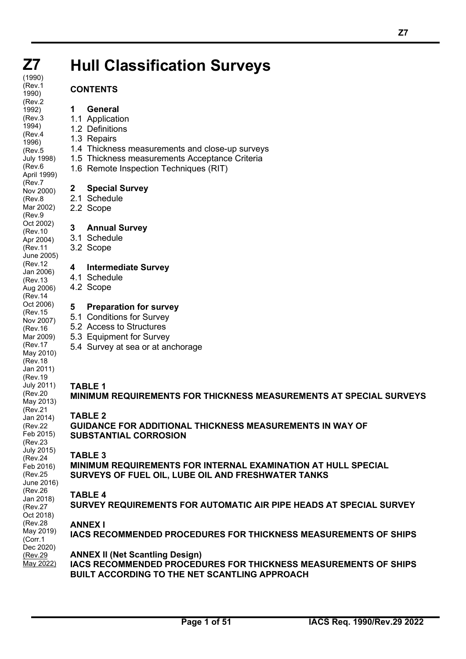# **Hull Classification Surveys**

#### **CONTENTS**

#### **1 General**

- 1.1 Application
- 1.2 Definitions
- 1.3 Repairs
- 1.4 Thickness measurements and close-up surveys
- 1.5 Thickness measurements Acceptance Criteria
- 1.6 Remote Inspection Techniques (RIT)

#### **2 Special Survey**

- 2.1 Schedule
- 2.2 Scope

#### **3 Annual Survey**

- 3.1 Schedule
- 3.2 Scope

#### **4 Intermediate Survey**

- 4.1 Schedule
- 4.2 Scope

#### **5 Preparation for survey**

- 5.1 Conditions for Survey
- 5.2 Access to Structures
- 5.3 Equipment for Survey
- 5.4 Survey at sea or at anchorage

#### **TABLE 1**

#### **MINIMUM REQUIREMENTS FOR THICKNESS MEASUREMENTS AT SPECIAL SURVEYS**

#### **TABLE 2**

**GUIDANCE FOR ADDITIONAL THICKNESS MEASUREMENTS IN WAY OF SUBSTANTIAL CORROSION**

#### **TABLE 3**

**MINIMUM REQUIREMENTS FOR INTERNAL EXAMINATION AT HULL SPECIAL SURVEYS OF FUEL OIL, LUBE OIL AND FRESHWATER TANKS**

#### **TABLE 4**

**SURVEY REQUIREMENTS FOR AUTOMATIC AIR PIPE HEADS AT SPECIAL SURVEY**

#### **ANNEX I**

**IACS RECOMMENDED PROCEDURES FOR THICKNESS MEASUREMENTS OF SHIPS**

#### **ANNEX II (Net Scantling Design)**

**IACS RECOMMENDED PROCEDURES FOR THICKNESS MEASUREMENTS OF SHIPS BUILT ACCORDING TO THE NET SCANTLING APPROACH**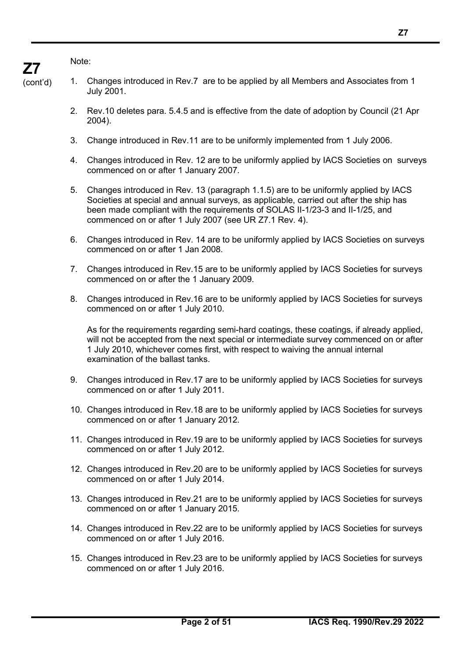Note:

**Z7**

- (cont'd) 1. Changes introduced in Rev.7 are to be applied by all Members and Associates from 1 July 2001.
	- 2. Rev.10 deletes para. 5.4.5 and is effective from the date of adoption by Council (21 Apr 2004).
	- 3. Change introduced in Rev.11 are to be uniformly implemented from 1 July 2006.
	- 4. Changes introduced in Rev. 12 are to be uniformly applied by IACS Societies on surveys commenced on or after 1 January 2007.
	- 5. Changes introduced in Rev. 13 (paragraph 1.1.5) are to be uniformly applied by IACS Societies at special and annual surveys, as applicable, carried out after the ship has been made compliant with the requirements of SOLAS II-1/23-3 and II-1/25, and commenced on or after 1 July 2007 (see UR Z7.1 Rev. 4).
	- 6. Changes introduced in Rev. 14 are to be uniformly applied by IACS Societies on surveys commenced on or after 1 Jan 2008.
	- 7. Changes introduced in Rev.15 are to be uniformly applied by IACS Societies for surveys commenced on or after the 1 January 2009.
	- 8. Changes introduced in Rev.16 are to be uniformly applied by IACS Societies for surveys commenced on or after 1 July 2010.

As for the requirements regarding semi-hard coatings, these coatings, if already applied, will not be accepted from the next special or intermediate survey commenced on or after 1 July 2010, whichever comes first, with respect to waiving the annual internal examination of the ballast tanks.

- 9. Changes introduced in Rev.17 are to be uniformly applied by IACS Societies for surveys commenced on or after 1 July 2011.
- 10. Changes introduced in Rev.18 are to be uniformly applied by IACS Societies for surveys commenced on or after 1 January 2012.
- 11. Changes introduced in Rev.19 are to be uniformly applied by IACS Societies for surveys commenced on or after 1 July 2012.
- 12. Changes introduced in Rev.20 are to be uniformly applied by IACS Societies for surveys commenced on or after 1 July 2014.
- 13. Changes introduced in Rev.21 are to be uniformly applied by IACS Societies for surveys commenced on or after 1 January 2015.
- 14. Changes introduced in Rev.22 are to be uniformly applied by IACS Societies for surveys commenced on or after 1 July 2016.
- 15. Changes introduced in Rev.23 are to be uniformly applied by IACS Societies for surveys commenced on or after 1 July 2016.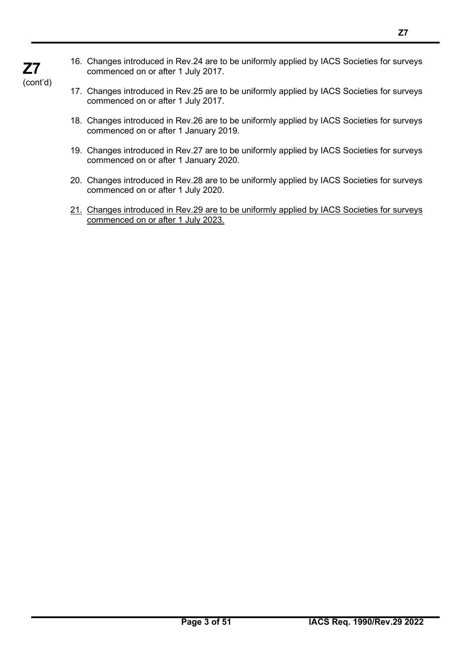16. Changes introduced in Rev.24 are to be uniformly applied by IACS Societies for surveys commenced on or after 1 July 2017.

(cont'd)

**Z7**

- 17. Changes introduced in Rev.25 are to be uniformly applied by IACS Societies for surveys commenced on or after 1 July 2017.
- 18. Changes introduced in Rev.26 are to be uniformly applied by IACS Societies for surveys commenced on or after 1 January 2019.
- 19. Changes introduced in Rev.27 are to be uniformly applied by IACS Societies for surveys commenced on or after 1 January 2020.
- 20. Changes introduced in Rev.28 are to be uniformly applied by IACS Societies for surveys commenced on or after 1 July 2020.
- 21. Changes introduced in Rev.29 are to be uniformly applied by IACS Societies for surveys commenced on or after 1 July 2023.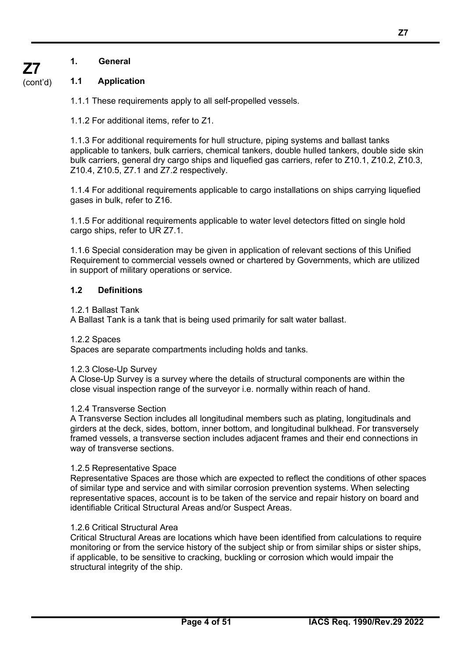#### (cont'd) **1.1 Application**

**Z7**

1.1.1 These requirements apply to all self-propelled vessels.

1.1.2 For additional items, refer to Z1.

1.1.3 For additional requirements for hull structure, piping systems and ballast tanks applicable to tankers, bulk carriers, chemical tankers, double hulled tankers, double side skin bulk carriers, general dry cargo ships and liquefied gas carriers, refer to Z10.1, Z10.2, Z10.3, Z10.4, Z10.5, Z7.1 and Z7.2 respectively.

1.1.4 For additional requirements applicable to cargo installations on ships carrying liquefied gases in bulk, refer to Z16.

1.1.5 For additional requirements applicable to water level detectors fitted on single hold cargo ships, refer to UR Z7.1.

1.1.6 Special consideration may be given in application of relevant sections of this Unified Requirement to commercial vessels owned or chartered by Governments, which are utilized in support of military operations or service.

#### **1.2 Definitions**

#### 1.2.1 Ballast Tank

A Ballast Tank is a tank that is being used primarily for salt water ballast.

#### 1.2.2 Spaces

Spaces are separate compartments including holds and tanks.

#### 1.2.3 Close-Up Survey

A Close-Up Survey is a survey where the details of structural components are within the close visual inspection range of the surveyor i.e. normally within reach of hand.

#### 1.2.4 Transverse Section

A Transverse Section includes all longitudinal members such as plating, longitudinals and girders at the deck, sides, bottom, inner bottom, and longitudinal bulkhead. For transversely framed vessels, a transverse section includes adjacent frames and their end connections in way of transverse sections.

#### 1.2.5 Representative Space

Representative Spaces are those which are expected to reflect the conditions of other spaces of similar type and service and with similar corrosion prevention systems. When selecting representative spaces, account is to be taken of the service and repair history on board and identifiable Critical Structural Areas and/or Suspect Areas.

#### 1.2.6 Critical Structural Area

Critical Structural Areas are locations which have been identified from calculations to require monitoring or from the service history of the subject ship or from similar ships or sister ships, if applicable, to be sensitive to cracking, buckling or corrosion which would impair the structural integrity of the ship.

**Z7**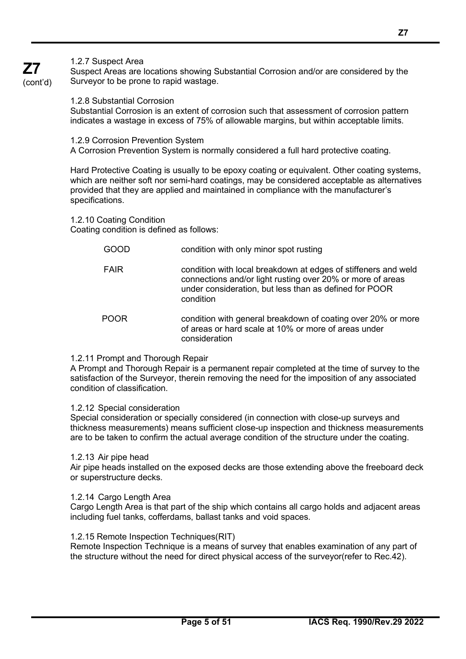1.2.15 Remote Inspection Techniques(RIT) Remote Inspection Technique is a means of survey that enables examination of any part of the structure without the need for direct physical access of the surveyor(refer to Rec.42).

#### 1.2.7 Suspect Area

**Z7** (cont'd)

Suspect Areas are locations showing Substantial Corrosion and/or are considered by the Surveyor to be prone to rapid wastage.

1.2.8 Substantial Corrosion

Substantial Corrosion is an extent of corrosion such that assessment of corrosion pattern indicates a wastage in excess of 75% of allowable margins, but within acceptable limits.

1.2.9 Corrosion Prevention System

A Corrosion Prevention System is normally considered a full hard protective coating.

Hard Protective Coating is usually to be epoxy coating or equivalent. Other coating systems, which are neither soft nor semi-hard coatings, may be considered acceptable as alternatives provided that they are applied and maintained in compliance with the manufacturer's specifications.

1.2.10 Coating Condition

Coating condition is defined as follows:

- GOOD condition with only minor spot rusting
- FAIR condition with local breakdown at edges of stiffeners and weld connections and/or light rusting over 20% or more of areas under consideration, but less than as defined for POOR condition
- POOR condition with general breakdown of coating over 20% or more of areas or hard scale at 10% or more of areas under consideration

#### 1.2.11 Prompt and Thorough Repair

A Prompt and Thorough Repair is a permanent repair completed at the time of survey to the satisfaction of the Surveyor, therein removing the need for the imposition of any associated condition of classification.

#### 1.2.12 Special consideration

Special consideration or specially considered (in connection with close-up surveys and thickness measurements) means sufficient close-up inspection and thickness measurements are to be taken to confirm the actual average condition of the structure under the coating.

#### 1.2.13 Air pipe head

Air pipe heads installed on the exposed decks are those extending above the freeboard deck or superstructure decks.

#### 1.2.14 Cargo Length Area

Cargo Length Area is that part of the ship which contains all cargo holds and adjacent areas including fuel tanks, cofferdams, ballast tanks and void spaces.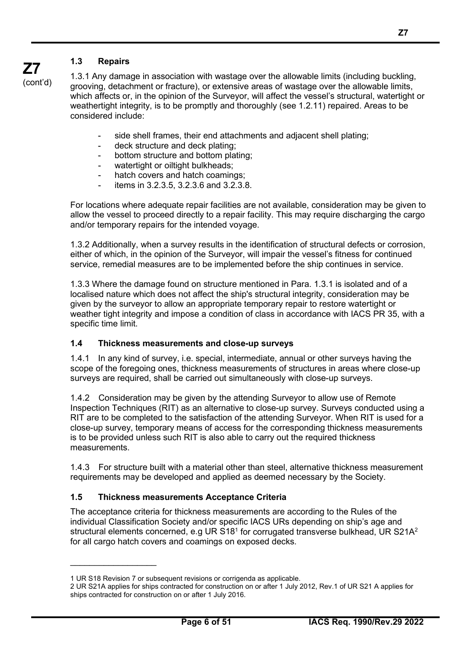considered include:

**Z7** (cont'd) 1.3.1 Any damage in association with wastage over the allowable limits (including buckling, grooving, detachment or fracture), or extensive areas of wastage over the allowable limits, which affects or, in the opinion of the Surveyor, will affect the vessel's structural, watertight or weathertight integrity, is to be promptly and thoroughly (see 1.2.11) repaired. Areas to be

- side shell frames, their end attachments and adjacent shell plating;
- deck structure and deck plating;
- bottom structure and bottom plating;
- watertight or oiltight bulkheads;
- hatch covers and hatch coamings;
- items in 3.2.3.5, 3.2.3.6 and 3.2.3.8.

For locations where adequate repair facilities are not available, consideration may be given to allow the vessel to proceed directly to a repair facility. This may require discharging the cargo and/or temporary repairs for the intended voyage.

1.3.2 Additionally, when a survey results in the identification of structural defects or corrosion, either of which, in the opinion of the Surveyor, will impair the vessel's fitness for continued service, remedial measures are to be implemented before the ship continues in service.

1.3.3 Where the damage found on structure mentioned in Para. 1.3.1 is isolated and of a localised nature which does not affect the ship's structural integrity, consideration may be given by the surveyor to allow an appropriate temporary repair to restore watertight or weather tight integrity and impose a condition of class in accordance with IACS PR 35, with a specific time limit.

#### **1.4 Thickness measurements and close-up surveys**

1.4.1 In any kind of survey, i.e. special, intermediate, annual or other surveys having the scope of the foregoing ones, thickness measurements of structures in areas where close-up surveys are required, shall be carried out simultaneously with close-up surveys.

1.4.2 Consideration may be given by the attending Surveyor to allow use of Remote Inspection Techniques (RIT) as an alternative to close-up survey. Surveys conducted using a RIT are to be completed to the satisfaction of the attending Surveyor. When RIT is used for a close-up survey, temporary means of access for the corresponding thickness measurements is to be provided unless such RIT is also able to carry out the required thickness measurements.

1.4.3 For structure built with a material other than steel, alternative thickness measurement requirements may be developed and applied as deemed necessary by the Society.

#### **1.5 Thickness measurements Acceptance Criteria**

The acceptance criteria for thickness measurements are according to the Rules of the individual Classification Society and/or specific IACS URs depending on ship's age and structural elements concerned, e.g UR S18<sup>1</sup> for corrugated transverse bulkhead, UR S21A<sup>2</sup> for all cargo hatch covers and coamings on exposed decks.

 $\overline{\phantom{a}}$ 

<sup>1</sup> UR S18 Revision 7 or subsequent revisions or corrigenda as applicable.

<sup>2</sup> UR S21A applies for ships contracted for construction on or after 1 July 2012, Rev.1 of UR S21 A applies for ships contracted for construction on or after 1 July 2016.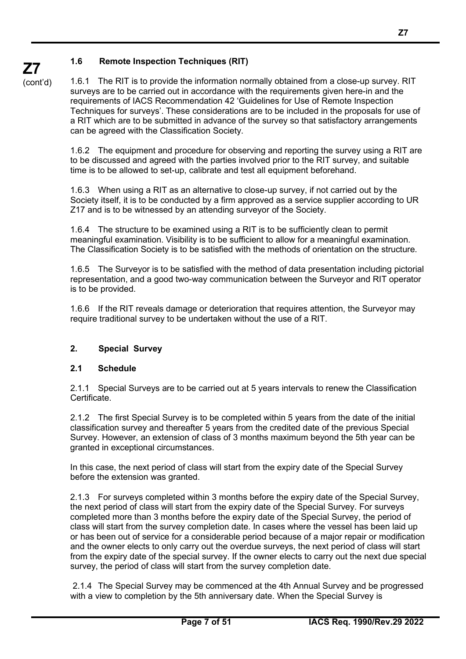**Z7** (cont'd)

1.6.1 The RIT is to provide the information normally obtained from a close-up survey. RIT surveys are to be carried out in accordance with the requirements given here-in and the requirements of IACS Recommendation 42 'Guidelines for Use of Remote Inspection Techniques for surveys'. These considerations are to be included in the proposals for use of a RIT which are to be submitted in advance of the survey so that satisfactory arrangements can be agreed with the Classification Society.

1.6.2 The equipment and procedure for observing and reporting the survey using a RIT are to be discussed and agreed with the parties involved prior to the RIT survey, and suitable time is to be allowed to set-up, calibrate and test all equipment beforehand.

1.6.3 When using a RIT as an alternative to close-up survey, if not carried out by the Society itself, it is to be conducted by a firm approved as a service supplier according to UR Z17 and is to be witnessed by an attending surveyor of the Society.

1.6.4 The structure to be examined using a RIT is to be sufficiently clean to permit meaningful examination. Visibility is to be sufficient to allow for a meaningful examination. The Classification Society is to be satisfied with the methods of orientation on the structure.

1.6.5 The Surveyor is to be satisfied with the method of data presentation including pictorial representation, and a good two-way communication between the Surveyor and RIT operator is to be provided.

1.6.6 If the RIT reveals damage or deterioration that requires attention, the Surveyor may require traditional survey to be undertaken without the use of a RIT.

#### **2. Special Survey**

#### **2.1 Schedule**

2.1.1 Special Surveys are to be carried out at 5 years intervals to renew the Classification Certificate.

2.1.2 The first Special Survey is to be completed within 5 years from the date of the initial classification survey and thereafter 5 years from the credited date of the previous Special Survey. However, an extension of class of 3 months maximum beyond the 5th year can be granted in exceptional circumstances.

In this case, the next period of class will start from the expiry date of the Special Survey before the extension was granted.

2.1.3 For surveys completed within 3 months before the expiry date of the Special Survey, the next period of class will start from the expiry date of the Special Survey. For surveys completed more than 3 months before the expiry date of the Special Survey, the period of class will start from the survey completion date. In cases where the vessel has been laid up or has been out of service for a considerable period because of a major repair or modification and the owner elects to only carry out the overdue surveys, the next period of class will start from the expiry date of the special survey. If the owner elects to carry out the next due special survey, the period of class will start from the survey completion date.

2.1.4 The Special Survey may be commenced at the 4th Annual Survey and be progressed with a view to completion by the 5th anniversary date. When the Special Survey is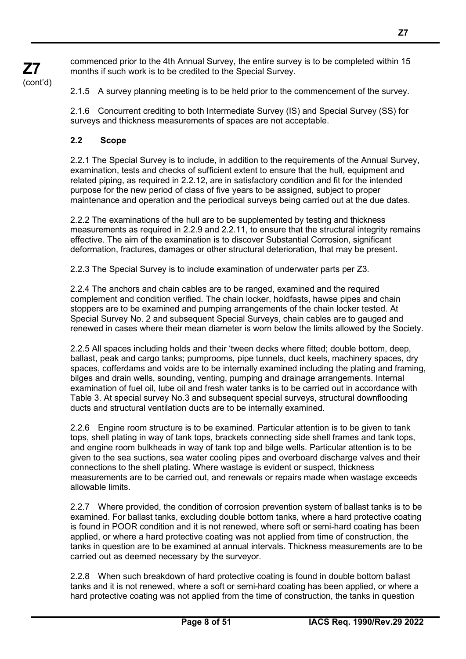commenced prior to the 4th Annual Survey, the entire survey is to be completed within 15 months if such work is to be credited to the Special Survey.

2.1.5 A survey planning meeting is to be held prior to the commencement of the survey.

2.1.6 Concurrent crediting to both Intermediate Survey (IS) and Special Survey (SS) for surveys and thickness measurements of spaces are not acceptable.

#### **2.2 Scope**

**Z7** (cont'd)

> 2.2.1 The Special Survey is to include, in addition to the requirements of the Annual Survey, examination, tests and checks of sufficient extent to ensure that the hull, equipment and related piping, as required in 2.2.12, are in satisfactory condition and fit for the intended purpose for the new period of class of five years to be assigned, subject to proper maintenance and operation and the periodical surveys being carried out at the due dates.

> 2.2.2 The examinations of the hull are to be supplemented by testing and thickness measurements as required in 2.2.9 and 2.2.11, to ensure that the structural integrity remains effective. The aim of the examination is to discover Substantial Corrosion, significant deformation, fractures, damages or other structural deterioration, that may be present.

2.2.3 The Special Survey is to include examination of underwater parts per Z3.

2.2.4 The anchors and chain cables are to be ranged, examined and the required complement and condition verified. The chain locker, holdfasts, hawse pipes and chain stoppers are to be examined and pumping arrangements of the chain locker tested. At Special Survey No. 2 and subsequent Special Surveys, chain cables are to gauged and renewed in cases where their mean diameter is worn below the limits allowed by the Society.

2.2.5 All spaces including holds and their 'tween decks where fitted; double bottom, deep, ballast, peak and cargo tanks; pumprooms, pipe tunnels, duct keels, machinery spaces, dry spaces, cofferdams and voids are to be internally examined including the plating and framing, bilges and drain wells, sounding, venting, pumping and drainage arrangements. Internal examination of fuel oil, lube oil and fresh water tanks is to be carried out in accordance with Table 3. At special survey No.3 and subsequent special surveys, structural downflooding ducts and structural ventilation ducts are to be internally examined.

2.2.6 Engine room structure is to be examined. Particular attention is to be given to tank tops, shell plating in way of tank tops, brackets connecting side shell frames and tank tops, and engine room bulkheads in way of tank top and bilge wells. Particular attention is to be given to the sea suctions, sea water cooling pipes and overboard discharge valves and their connections to the shell plating. Where wastage is evident or suspect, thickness measurements are to be carried out, and renewals or repairs made when wastage exceeds allowable limits.

2.2.7 Where provided, the condition of corrosion prevention system of ballast tanks is to be examined. For ballast tanks, excluding double bottom tanks, where a hard protective coating is found in POOR condition and it is not renewed, where soft or semi-hard coating has been applied, or where a hard protective coating was not applied from time of construction, the tanks in question are to be examined at annual intervals. Thickness measurements are to be carried out as deemed necessary by the surveyor.

2.2.8 When such breakdown of hard protective coating is found in double bottom ballast tanks and it is not renewed, where a soft or semi-hard coating has been applied, or where a hard protective coating was not applied from the time of construction, the tanks in question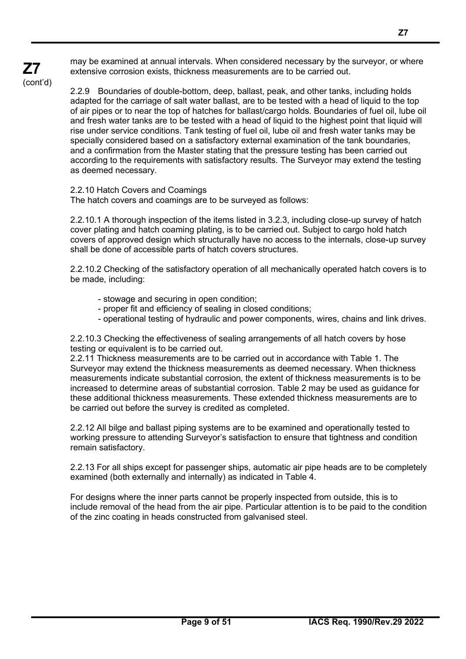may be examined at annual intervals. When considered necessary by the surveyor, or where extensive corrosion exists, thickness measurements are to be carried out.

(cont'd)

**Z7**

2.2.9 Boundaries of double-bottom, deep, ballast, peak, and other tanks, including holds adapted for the carriage of salt water ballast, are to be tested with a head of liquid to the top of air pipes or to near the top of hatches for ballast/cargo holds. Boundaries of fuel oil, lube oil and fresh water tanks are to be tested with a head of liquid to the highest point that liquid will rise under service conditions. Tank testing of fuel oil, lube oil and fresh water tanks may be specially considered based on a satisfactory external examination of the tank boundaries, and a confirmation from the Master stating that the pressure testing has been carried out according to the requirements with satisfactory results. The Surveyor may extend the testing as deemed necessary.

2.2.10 Hatch Covers and Coamings

The hatch covers and coamings are to be surveyed as follows:

2.2.10.1 A thorough inspection of the items listed in 3.2.3, including close-up survey of hatch cover plating and hatch coaming plating, is to be carried out. Subject to cargo hold hatch covers of approved design which structurally have no access to the internals, close-up survey shall be done of accessible parts of hatch covers structures.

2.2.10.2 Checking of the satisfactory operation of all mechanically operated hatch covers is to be made, including:

- stowage and securing in open condition;
- proper fit and efficiency of sealing in closed conditions;
- operational testing of hydraulic and power components, wires, chains and link drives.

2.2.10.3 Checking the effectiveness of sealing arrangements of all hatch covers by hose testing or equivalent is to be carried out.

2.2.11 Thickness measurements are to be carried out in accordance with Table 1. The Surveyor may extend the thickness measurements as deemed necessary. When thickness measurements indicate substantial corrosion, the extent of thickness measurements is to be increased to determine areas of substantial corrosion. Table 2 may be used as guidance for these additional thickness measurements. These extended thickness measurements are to be carried out before the survey is credited as completed.

2.2.12 All bilge and ballast piping systems are to be examined and operationally tested to working pressure to attending Surveyor's satisfaction to ensure that tightness and condition remain satisfactory.

2.2.13 For all ships except for passenger ships, automatic air pipe heads are to be completely examined (both externally and internally) as indicated in Table 4.

For designs where the inner parts cannot be properly inspected from outside, this is to include removal of the head from the air pipe. Particular attention is to be paid to the condition of the zinc coating in heads constructed from galvanised steel.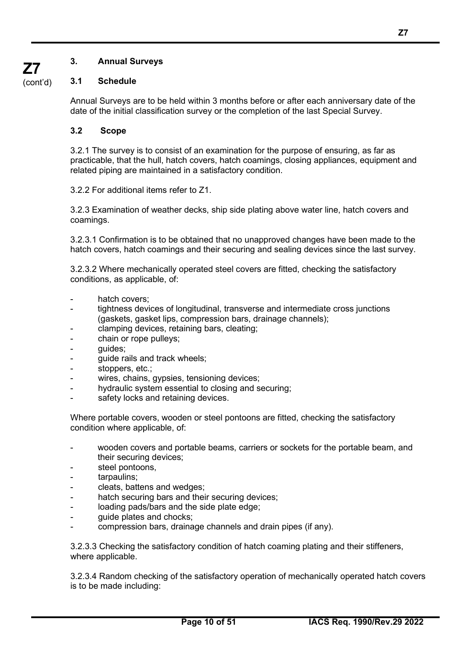#### **3. Annual Surveys**

#### (cont'd) **3.1 Schedule**

**Z7**

Annual Surveys are to be held within 3 months before or after each anniversary date of the date of the initial classification survey or the completion of the last Special Survey.

#### **3.2 Scope**

3.2.1 The survey is to consist of an examination for the purpose of ensuring, as far as practicable, that the hull, hatch covers, hatch coamings, closing appliances, equipment and related piping are maintained in a satisfactory condition.

3.2.2 For additional items refer to Z1.

3.2.3 Examination of weather decks, ship side plating above water line, hatch covers and coamings.

3.2.3.1 Confirmation is to be obtained that no unapproved changes have been made to the hatch covers, hatch coamings and their securing and sealing devices since the last survey.

3.2.3.2 Where mechanically operated steel covers are fitted, checking the satisfactory conditions, as applicable, of:

- hatch covers:
- tightness devices of longitudinal, transverse and intermediate cross junctions (gaskets, gasket lips, compression bars, drainage channels);
- clamping devices, retaining bars, cleating;
- chain or rope pulleys;
- guides;
- quide rails and track wheels;
- stoppers, etc.;
- wires, chains, gypsies, tensioning devices;
- hydraulic system essential to closing and securing;
- safety locks and retaining devices.

Where portable covers, wooden or steel pontoons are fitted, checking the satisfactory condition where applicable, of:

- wooden covers and portable beams, carriers or sockets for the portable beam, and their securing devices;
- steel pontoons,
- tarpaulins;
- cleats, battens and wedges;
- hatch securing bars and their securing devices;
- loading pads/bars and the side plate edge;
- guide plates and chocks;
- compression bars, drainage channels and drain pipes (if any).

3.2.3.3 Checking the satisfactory condition of hatch coaming plating and their stiffeners, where applicable.

3.2.3.4 Random checking of the satisfactory operation of mechanically operated hatch covers is to be made including: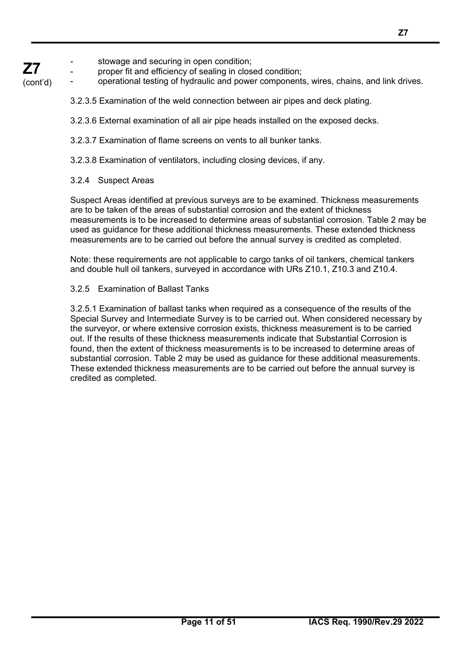#### **Z7** stowage and securing in open condition;

proper fit and efficiency of sealing in closed condition;

(cont'd) operational testing of hydraulic and power components, wires, chains, and link drives.

- 3.2.3.5 Examination of the weld connection between air pipes and deck plating.
- 3.2.3.6 External examination of all air pipe heads installed on the exposed decks.
- 3.2.3.7 Examination of flame screens on vents to all bunker tanks.
- 3.2.3.8 Examination of ventilators, including closing devices, if any.

### 3.2.4 Suspect Areas

Suspect Areas identified at previous surveys are to be examined. Thickness measurements are to be taken of the areas of substantial corrosion and the extent of thickness measurements is to be increased to determine areas of substantial corrosion. Table 2 may be used as guidance for these additional thickness measurements. These extended thickness measurements are to be carried out before the annual survey is credited as completed.

Note: these requirements are not applicable to cargo tanks of oil tankers, chemical tankers and double hull oil tankers, surveyed in accordance with URs Z10.1, Z10.3 and Z10.4.

### 3.2.5 Examination of Ballast Tanks

3.2.5.1 Examination of ballast tanks when required as a consequence of the results of the Special Survey and Intermediate Survey is to be carried out. When considered necessary by the surveyor, or where extensive corrosion exists, thickness measurement is to be carried out. If the results of these thickness measurements indicate that Substantial Corrosion is found, then the extent of thickness measurements is to be increased to determine areas of substantial corrosion. Table 2 may be used as guidance for these additional measurements. These extended thickness measurements are to be carried out before the annual survey is credited as completed.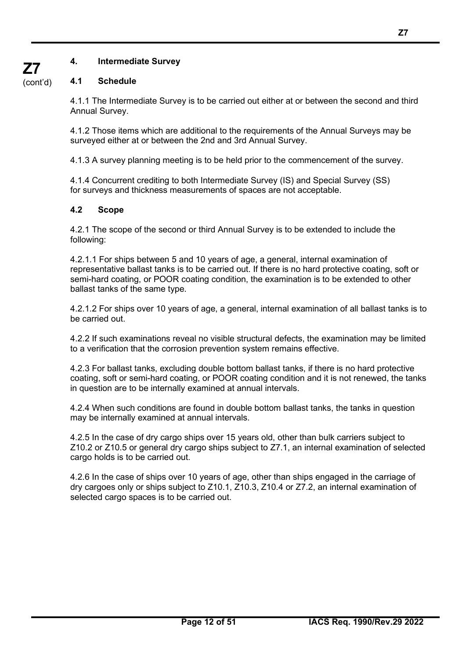### **4. Intermediate Survey**

#### (cont'd) **4.1 Schedule**

**Z7**

4.1.1 The Intermediate Survey is to be carried out either at or between the second and third Annual Survey.

4.1.2 Those items which are additional to the requirements of the Annual Surveys may be surveyed either at or between the 2nd and 3rd Annual Survey.

4.1.3 A survey planning meeting is to be held prior to the commencement of the survey.

4.1.4 Concurrent crediting to both Intermediate Survey (IS) and Special Survey (SS) for surveys and thickness measurements of spaces are not acceptable.

#### **4.2 Scope**

4.2.1 The scope of the second or third Annual Survey is to be extended to include the following:

4.2.1.1 For ships between 5 and 10 years of age, a general, internal examination of representative ballast tanks is to be carried out. If there is no hard protective coating, soft or semi-hard coating, or POOR coating condition, the examination is to be extended to other ballast tanks of the same type.

4.2.1.2 For ships over 10 years of age, a general, internal examination of all ballast tanks is to be carried out.

4.2.2 If such examinations reveal no visible structural defects, the examination may be limited to a verification that the corrosion prevention system remains effective.

4.2.3 For ballast tanks, excluding double bottom ballast tanks, if there is no hard protective coating, soft or semi-hard coating, or POOR coating condition and it is not renewed, the tanks in question are to be internally examined at annual intervals.

4.2.4 When such conditions are found in double bottom ballast tanks, the tanks in question may be internally examined at annual intervals.

4.2.5 In the case of dry cargo ships over 15 years old, other than bulk carriers subject to Z10.2 or Z10.5 or general dry cargo ships subject to Z7.1, an internal examination of selected cargo holds is to be carried out.

4.2.6 In the case of ships over 10 years of age, other than ships engaged in the carriage of dry cargoes only or ships subject to Z10.1, Z10.3, Z10.4 or Z7.2, an internal examination of selected cargo spaces is to be carried out.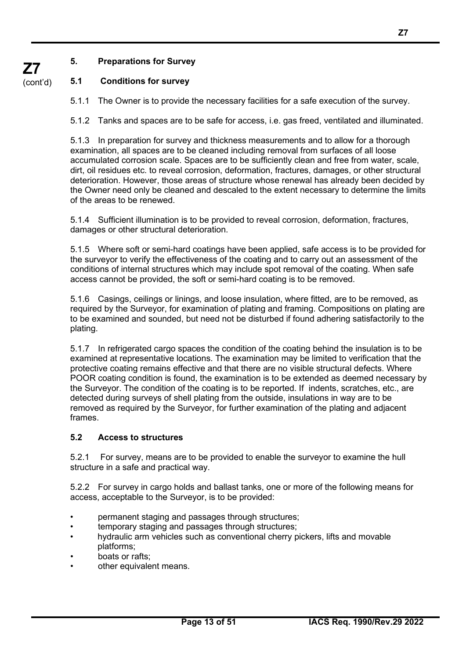#### **5. Preparations for Survey**

#### **5.1 Conditions for survey**

5.1.1 The Owner is to provide the necessary facilities for a safe execution of the survey.

5.1.2 Tanks and spaces are to be safe for access, i.e. gas freed, ventilated and illuminated.

5.1.3 In preparation for survey and thickness measurements and to allow for a thorough examination, all spaces are to be cleaned including removal from surfaces of all loose accumulated corrosion scale. Spaces are to be sufficiently clean and free from water, scale, dirt, oil residues etc. to reveal corrosion, deformation, fractures, damages, or other structural deterioration. However, those areas of structure whose renewal has already been decided by the Owner need only be cleaned and descaled to the extent necessary to determine the limits of the areas to be renewed.

5.1.4 Sufficient illumination is to be provided to reveal corrosion, deformation, fractures, damages or other structural deterioration.

5.1.5 Where soft or semi-hard coatings have been applied, safe access is to be provided for the surveyor to verify the effectiveness of the coating and to carry out an assessment of the conditions of internal structures which may include spot removal of the coating. When safe access cannot be provided, the soft or semi-hard coating is to be removed.

5.1.6 Casings, ceilings or linings, and loose insulation, where fitted, are to be removed, as required by the Surveyor, for examination of plating and framing. Compositions on plating are to be examined and sounded, but need not be disturbed if found adhering satisfactorily to the plating.

5.1.7 In refrigerated cargo spaces the condition of the coating behind the insulation is to be examined at representative locations. The examination may be limited to verification that the protective coating remains effective and that there are no visible structural defects. Where POOR coating condition is found, the examination is to be extended as deemed necessary by the Surveyor. The condition of the coating is to be reported. If indents, scratches, etc., are detected during surveys of shell plating from the outside, insulations in way are to be removed as required by the Surveyor, for further examination of the plating and adjacent frames.

#### **5.2 Access to structures**

5.2.1 For survey, means are to be provided to enable the surveyor to examine the hull structure in a safe and practical way.

5.2.2 For survey in cargo holds and ballast tanks, one or more of the following means for access, acceptable to the Surveyor, is to be provided:

- permanent staging and passages through structures;
- temporary staging and passages through structures;
- hydraulic arm vehicles such as conventional cherry pickers, lifts and movable platforms;
- boats or rafts:
- other equivalent means.

**Z7**

**Z7** (cont'd)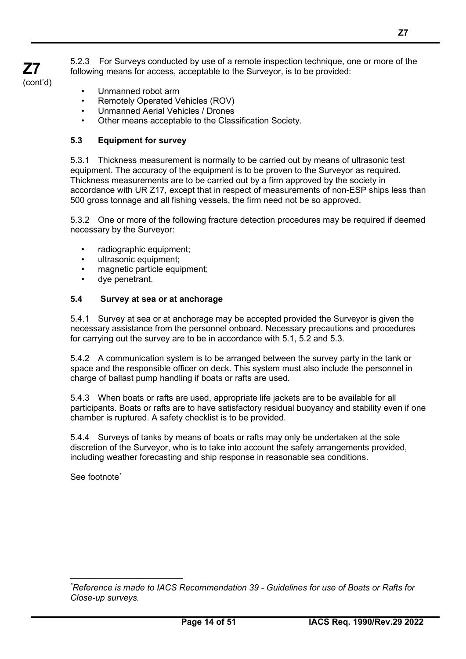5.2.3 For Surveys conducted by use of a remote inspection technique, one or more of the following means for access, acceptable to the Surveyor, is to be provided:

**Z7**

• Unmanned robot arm

**Z7** (cont'd)

- Remotely Operated Vehicles (ROV)
- Unmanned Aerial Vehicles / Drones
- Other means acceptable to the Classification Society.

#### **5.3 Equipment for survey**

5.3.1 Thickness measurement is normally to be carried out by means of ultrasonic test equipment. The accuracy of the equipment is to be proven to the Surveyor as required. Thickness measurements are to be carried out by a firm approved by the society in accordance with UR Z17, except that in respect of measurements of non-ESP ships less than 500 gross tonnage and all fishing vessels, the firm need not be so approved.

5.3.2 One or more of the following fracture detection procedures may be required if deemed necessary by the Surveyor:

- radiographic equipment;
- ultrasonic equipment;
- magnetic particle equipment;
- dye penetrant.

#### **5.4 Survey at sea or at anchorage**

5.4.1 Survey at sea or at anchorage may be accepted provided the Surveyor is given the necessary assistance from the personnel onboard. Necessary precautions and procedures for carrying out the survey are to be in accordance with 5.1, 5.2 and 5.3.

5.4.2 A communication system is to be arranged between the survey party in the tank or space and the responsible officer on deck. This system must also include the personnel in charge of ballast pump handling if boats or rafts are used.

5.4.3 When boats or rafts are used, appropriate life jackets are to be available for all participants. Boats or rafts are to have satisfactory residual buoyancy and stability even if one chamber is ruptured. A safety checklist is to be provided.

5.4.4 Surveys of tanks by means of boats or rafts may only be undertaken at the sole discretion of the Surveyor, who is to take into account the safety arrangements provided, including weather forecasting and ship response in reasonable sea conditions.

See footnote[\\*](#page-13-0)

<span id="page-13-0"></span>*<sup>\*</sup> Reference is made to IACS Recommendation 39 - Guidelines for use of Boats or Rafts for Close-up surveys.*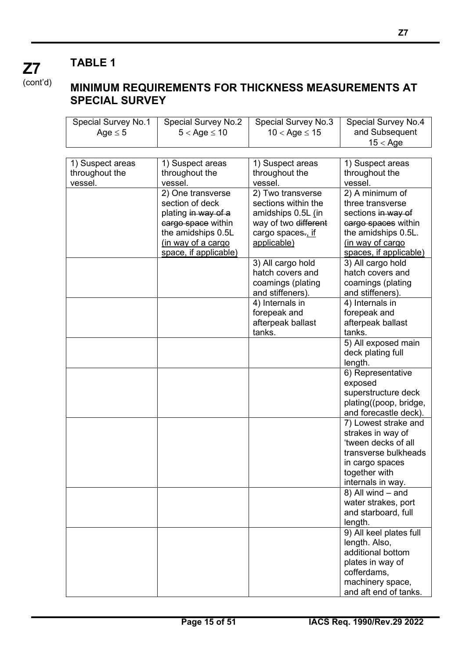(cont'd)

**Z7**

## **MINIMUM REQUIREMENTS FOR THICKNESS MEASUREMENTS AT SPECIAL SURVEY**

| Special Survey No.1 | <b>Special Survey No.2</b> | Special Survey No.3  | <b>Special Survey No.4</b> |
|---------------------|----------------------------|----------------------|----------------------------|
| Age $\leq$ 5        | $5 <$ Age $\leq 10$        | $10 <$ Age $\le 15$  | and Subsequent             |
|                     |                            |                      | $15 <$ Age                 |
|                     |                            |                      |                            |
| 1) Suspect areas    | 1) Suspect areas           | 1) Suspect areas     | 1) Suspect areas           |
| throughout the      | throughout the             | throughout the       | throughout the             |
| vessel.             | vessel.                    | vessel.              | vessel.                    |
|                     | 2) One transverse          | 2) Two transverse    | 2) A minimum of            |
|                     | section of deck            | sections within the  | three transverse           |
|                     | plating in way of a        | amidships 0.5L (in   | sections in way of         |
|                     | cargo space within         | way of two different | cargo spaces within        |
|                     | the amidships 0.5L         | cargo spaces., if    | the amidships 0.5L.        |
|                     | (in way of a cargo         | applicable)          | (in way of cargo           |
|                     | space, if applicable)      |                      | spaces, if applicable)     |
|                     |                            | 3) All cargo hold    | 3) All cargo hold          |
|                     |                            | hatch covers and     | hatch covers and           |
|                     |                            | coamings (plating    | coamings (plating          |
|                     |                            | and stiffeners).     | and stiffeners).           |
|                     |                            | 4) Internals in      | 4) Internals in            |
|                     |                            | forepeak and         | forepeak and               |
|                     |                            |                      |                            |
|                     |                            | afterpeak ballast    | afterpeak ballast          |
|                     |                            | tanks.               | tanks.                     |
|                     |                            |                      | 5) All exposed main        |
|                     |                            |                      | deck plating full          |
|                     |                            |                      | length.                    |
|                     |                            |                      | 6) Representative          |
|                     |                            |                      | exposed                    |
|                     |                            |                      | superstructure deck        |
|                     |                            |                      | plating((poop, bridge,     |
|                     |                            |                      | and forecastle deck).      |
|                     |                            |                      | 7) Lowest strake and       |
|                     |                            |                      | strakes in way of          |
|                     |                            |                      | 'tween decks of all        |
|                     |                            |                      | transverse bulkheads       |
|                     |                            |                      | in cargo spaces            |
|                     |                            |                      | together with              |
|                     |                            |                      | internals in way.          |
|                     |                            |                      | 8) All wind - and          |
|                     |                            |                      | water strakes, port        |
|                     |                            |                      | and starboard, full        |
|                     |                            |                      | length.                    |
|                     |                            |                      | 9) All keel plates full    |
|                     |                            |                      | length. Also,              |
|                     |                            |                      | additional bottom          |
|                     |                            |                      | plates in way of           |
|                     |                            |                      | cofferdams,                |
|                     |                            |                      | machinery space,           |
|                     |                            |                      | and aft end of tanks.      |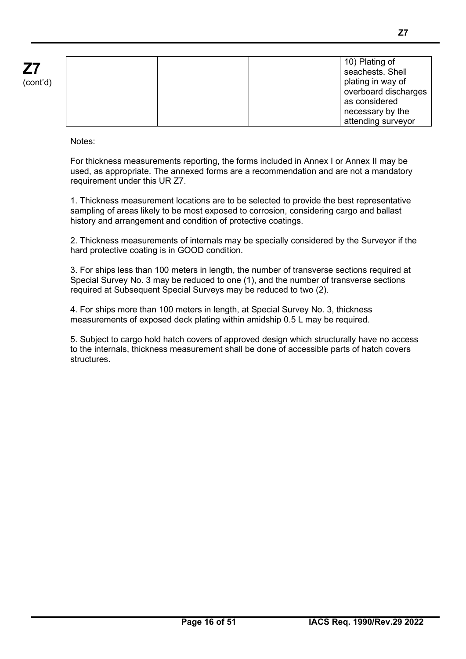| (cont'd) |  |
|----------|--|

|  | 10) Plating of       |
|--|----------------------|
|  | seachests. Shell     |
|  | plating in way of    |
|  | overboard discharges |
|  | as considered        |
|  | necessary by the     |
|  | attending surveyor   |

Notes:

For thickness measurements reporting, the forms included in Annex I or Annex II may be used, as appropriate. The annexed forms are a recommendation and are not a mandatory requirement under this UR Z7.

1. Thickness measurement locations are to be selected to provide the best representative sampling of areas likely to be most exposed to corrosion, considering cargo and ballast history and arrangement and condition of protective coatings.

2. Thickness measurements of internals may be specially considered by the Surveyor if the hard protective coating is in GOOD condition.

3. For ships less than 100 meters in length, the number of transverse sections required at Special Survey No. 3 may be reduced to one (1), and the number of transverse sections required at Subsequent Special Surveys may be reduced to two (2).

4. For ships more than 100 meters in length, at Special Survey No. 3, thickness measurements of exposed deck plating within amidship 0.5 L may be required.

5. Subject to cargo hold hatch covers of approved design which structurally have no access to the internals, thickness measurement shall be done of accessible parts of hatch covers structures.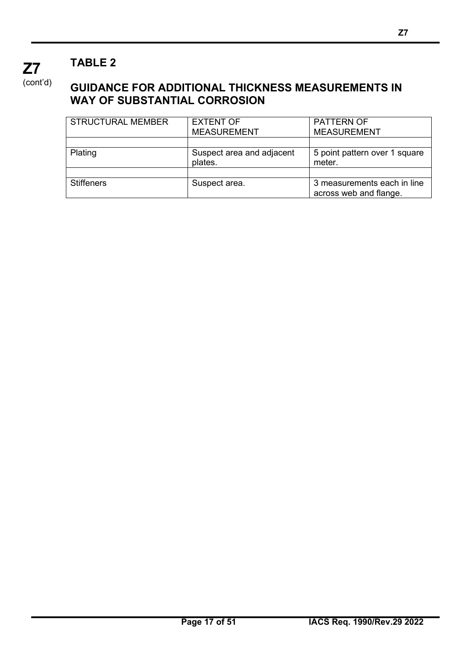(cont'd)

**Z7**

## **GUIDANCE FOR ADDITIONAL THICKNESS MEASUREMENTS IN WAY OF SUBSTANTIAL CORROSION**

| <b>STRUCTURAL MEMBER</b> | <b>EXTENT OF</b>                     | <b>PATTERN OF</b>                                     |
|--------------------------|--------------------------------------|-------------------------------------------------------|
|                          | <b>MEASUREMENT</b>                   | <b>MEASUREMENT</b>                                    |
|                          |                                      |                                                       |
| Plating                  | Suspect area and adjacent<br>plates. | 5 point pattern over 1 square<br>meter.               |
|                          |                                      |                                                       |
| <b>Stiffeners</b>        | Suspect area.                        | 3 measurements each in line<br>across web and flange. |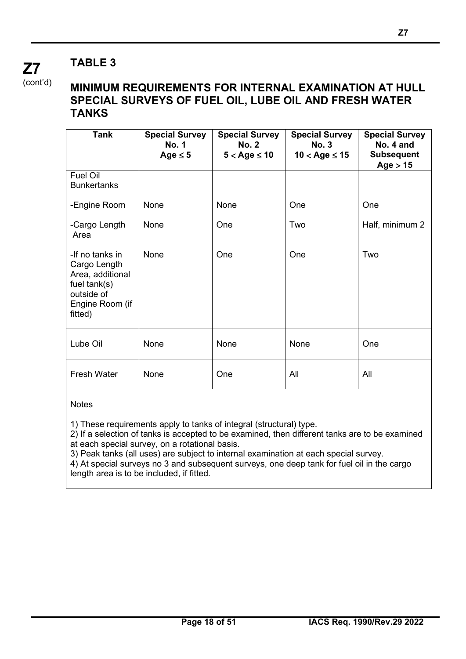(cont'd)

**Z7**

### **MINIMUM REQUIREMENTS FOR INTERNAL EXAMINATION AT HULL SPECIAL SURVEYS OF FUEL OIL, LUBE OIL AND FRESH WATER TANKS**

| <b>Tank</b>                                                                                                       | <b>Special Survey</b><br><b>No. 1</b><br>Age $\leq$ 5 | <b>Special Survey</b><br><b>No. 2</b><br>$5 <$ Age $\leq 10$ | <b>Special Survey</b><br><b>No. 3</b><br>$10 <$ Age $\leq 15$ | <b>Special Survey</b><br>No. 4 and<br><b>Subsequent</b><br>Age > 15 |
|-------------------------------------------------------------------------------------------------------------------|-------------------------------------------------------|--------------------------------------------------------------|---------------------------------------------------------------|---------------------------------------------------------------------|
| Fuel Oil<br><b>Bunkertanks</b>                                                                                    |                                                       |                                                              |                                                               |                                                                     |
| -Engine Room                                                                                                      | None                                                  | None                                                         | One                                                           | One                                                                 |
| -Cargo Length<br>Area                                                                                             | None                                                  | One                                                          | Two                                                           | Half, minimum 2                                                     |
| -If no tanks in<br>Cargo Length<br>Area, additional<br>fuel $tank(s)$<br>outside of<br>Engine Room (if<br>fitted) | None                                                  | One                                                          | One                                                           | Two                                                                 |
| Lube Oil                                                                                                          | None                                                  | None                                                         | None                                                          | One                                                                 |
| <b>Fresh Water</b>                                                                                                | None                                                  | One                                                          | All                                                           | All                                                                 |

#### **Notes**

1) These requirements apply to tanks of integral (structural) type.

2) If a selection of tanks is accepted to be examined, then different tanks are to be examined at each special survey, on a rotational basis.

3) Peak tanks (all uses) are subject to internal examination at each special survey.

 $\overrightarrow{4}$ ) At special surveys no 3 and subsequent surveys, one deep tank for fuel oil in the cargo length area is to be included, if fitted.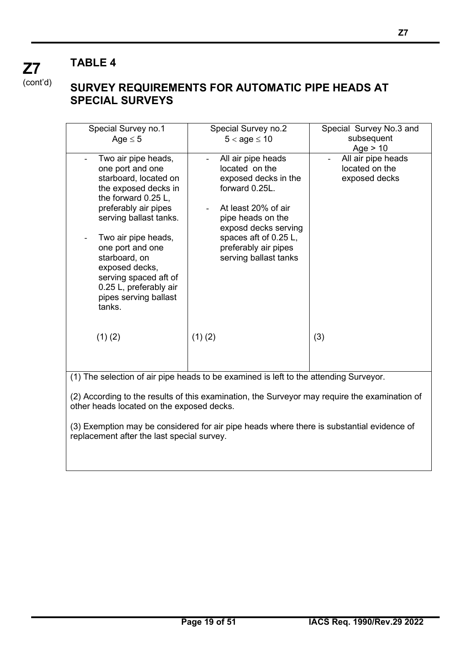**Z7** (cont'd)

## **SURVEY REQUIREMENTS FOR AUTOMATIC PIPE HEADS AT SPECIAL SURVEYS**

| Special Survey no.1<br>Age $\leq$ 5                                                                                                                                                                                                                                                                                                   | Special Survey no.2<br>$5 <$ age $\leq 10$                                                                                                                                                                                   | Special Survey No.3 and<br>subsequent                 |
|---------------------------------------------------------------------------------------------------------------------------------------------------------------------------------------------------------------------------------------------------------------------------------------------------------------------------------------|------------------------------------------------------------------------------------------------------------------------------------------------------------------------------------------------------------------------------|-------------------------------------------------------|
|                                                                                                                                                                                                                                                                                                                                       |                                                                                                                                                                                                                              | Age $> 10$                                            |
| Two air pipe heads,<br>one port and one<br>starboard, located on<br>the exposed decks in<br>the forward 0.25 L,<br>preferably air pipes<br>serving ballast tanks.<br>Two air pipe heads,<br>one port and one<br>starboard, on<br>exposed decks,<br>serving spaced aft of<br>0.25 L, preferably air<br>pipes serving ballast<br>tanks. | All air pipe heads<br>located on the<br>exposed decks in the<br>forward 0.25L.<br>At least 20% of air<br>pipe heads on the<br>exposd decks serving<br>spaces aft of 0.25 L,<br>preferably air pipes<br>serving ballast tanks | All air pipe heads<br>located on the<br>exposed decks |
| $(1)$ (2)                                                                                                                                                                                                                                                                                                                             | (1)(2)                                                                                                                                                                                                                       | (3)                                                   |
|                                                                                                                                                                                                                                                                                                                                       |                                                                                                                                                                                                                              |                                                       |
|                                                                                                                                                                                                                                                                                                                                       | (1) The selection of air pipe heads to be examined is left to the attending Surveyor.                                                                                                                                        |                                                       |
|                                                                                                                                                                                                                                                                                                                                       |                                                                                                                                                                                                                              |                                                       |
| other heads located on the exposed decks.                                                                                                                                                                                                                                                                                             | (2) According to the results of this examination, the Surveyor may require the examination of                                                                                                                                |                                                       |

(3) Exemption may be considered for air pipe heads where there is substantial evidence of replacement after the last special survey.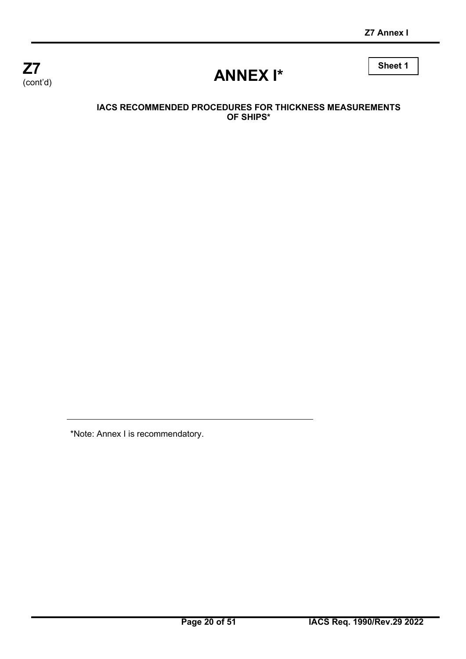

# **ANNEX I\***

**Sheet 1**

#### **IACS RECOMMENDED PROCEDURES FOR THICKNESS MEASUREMENTS OF SHIPS\***

\*Note: Annex I is recommendatory.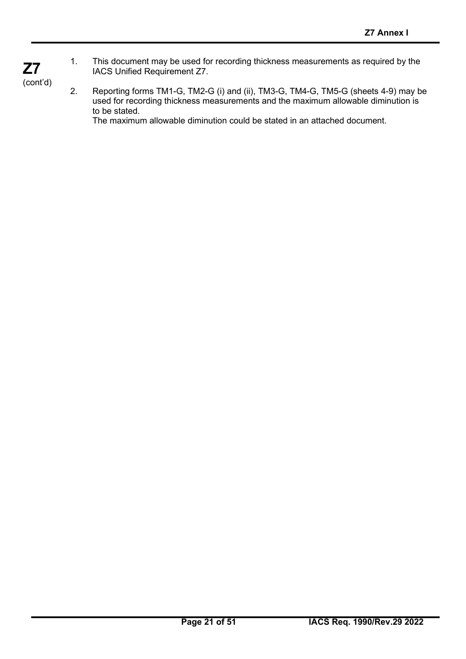1. This document may be used for recording thickness measurements as required by the IACS Unified Requirement Z7.

(cont'd)

**Z7**

2. Reporting forms TM1-G, TM2-G (i) and (ii), TM3-G, TM4-G, TM5-G (sheets 4-9) may be used for recording thickness measurements and the maximum allowable diminution is to be stated.

The maximum allowable diminution could be stated in an attached document.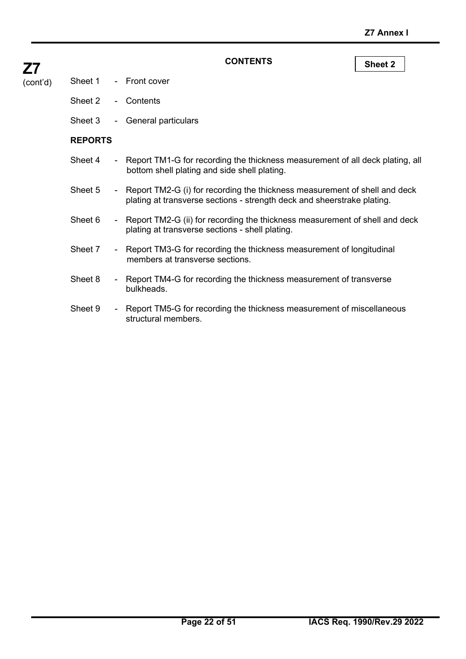| <b>Z7</b> |                | <b>CONTENTS</b>                                                                               |
|-----------|----------------|-----------------------------------------------------------------------------------------------|
| (cont'd)  |                | Sheet 1 - Front cover                                                                         |
|           |                | Sheet 2 - Contents                                                                            |
|           | Sheet 3        | - General particulars                                                                         |
|           | <b>REPORTS</b> |                                                                                               |
|           | Sheet 4        | - Report TM1-G for recording the thickness me<br>bottom shell plating and side shell plating. |

**Sheet 2** 

- easurement of all deck plating, all
- Sheet 5 Report TM2-G (i) for recording the thickness measurement of shell and deck plating at transverse sections - strength deck and sheerstrake plating.
- Sheet 6 Report TM2-G (ii) for recording the thickness measurement of shell and deck plating at transverse sections - shell plating.
- Sheet 7 Report TM3-G for recording the thickness measurement of longitudinal members at transverse sections.
- Sheet 8 Report TM4-G for recording the thickness measurement of transverse bulkheads.
- Sheet 9 Report TM5-G for recording the thickness measurement of miscellaneous structural members.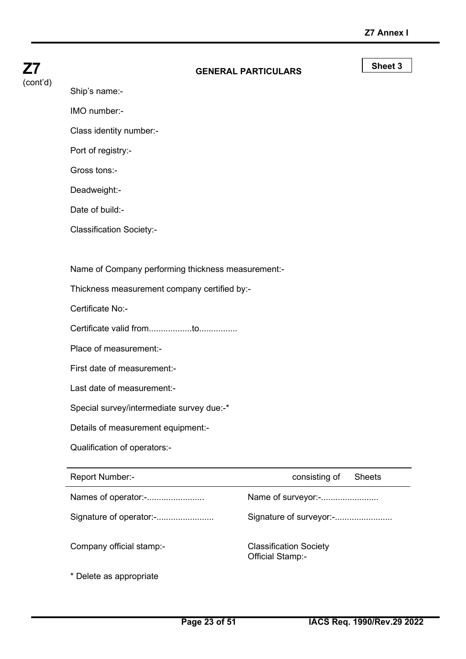| Z7       | <b>GENERAL PARTICULARS</b>                         |                    | Sheet 3       |
|----------|----------------------------------------------------|--------------------|---------------|
| (cont'd) | Ship's name:-                                      |                    |               |
|          | IMO number:-                                       |                    |               |
|          | Class identity number:-                            |                    |               |
|          | Port of registry:-                                 |                    |               |
|          | Gross tons:-                                       |                    |               |
|          | Deadweight:-                                       |                    |               |
|          | Date of build:-                                    |                    |               |
|          | <b>Classification Society:-</b>                    |                    |               |
|          |                                                    |                    |               |
|          | Name of Company performing thickness measurement:- |                    |               |
|          | Thickness measurement company certified by:-       |                    |               |
|          | Certificate No:-                                   |                    |               |
|          |                                                    |                    |               |
|          | Place of measurement:-                             |                    |               |
|          | First date of measurement:-                        |                    |               |
|          | Last date of measurement:-                         |                    |               |
|          | Special survey/intermediate survey due:-*          |                    |               |
|          | Details of measurement equipment:-                 |                    |               |
|          | Qualification of operators:-                       |                    |               |
|          | Report Number:-                                    | consisting of      | <b>Sheets</b> |
|          | Names of operator:-                                | Name of surveyor:- |               |

Signature of operator:-........................ Signature of surveyor:-........................

Company official stamp:- Classification Society Official Stamp:-

\* Delete as appropriate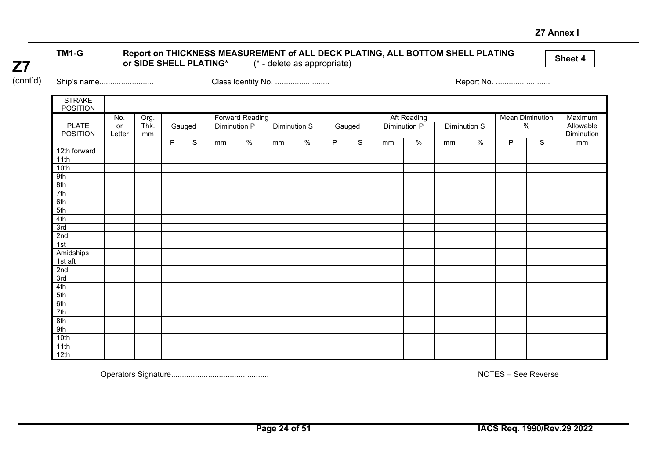#### **Z7 Annex I**

#### TM1-G Report on THICKNESS MEASUREMENT of ALL DECK PLATING, ALL BOTTOM SHELL PLATING<br>or SIDE SHELL PLATING\* (\* - delete as appropriate) or SIDE SHELL PLATING\*

**Z7** (cont'd)

Ship's name......................... Class Identity No. ......................... Report No. .........................

| <b>STRAKE</b><br><b>POSITION</b> |        |      |   |        |    |                        |    |                     |   |             |    |                      |    |               |   |                        |            |
|----------------------------------|--------|------|---|--------|----|------------------------|----|---------------------|---|-------------|----|----------------------|----|---------------|---|------------------------|------------|
|                                  | No.    | Org. |   |        |    | <b>Forward Reading</b> |    |                     |   |             |    | Aft Reading          |    |               |   | <b>Mean Diminution</b> | Maximum    |
| <b>PLATE</b>                     | or     | Thk. |   | Gauged |    | Diminution P           |    | <b>Diminution S</b> |   | Gauged      |    | <b>Diminution P</b>  |    | Diminution S  |   | $\%$                   | Allowable  |
| <b>POSITION</b>                  | Letter | mm   |   |        |    |                        |    |                     |   |             |    |                      |    |               |   |                        | Diminution |
|                                  |        |      | P | S      | mm | $\frac{0}{0}$          | mm | $\frac{0}{6}$       | P | $\mathbb S$ | mm | $\frac{1}{\sqrt{2}}$ | mm | $\frac{0}{6}$ | P | S                      | mm         |
| 12th forward                     |        |      |   |        |    |                        |    |                     |   |             |    |                      |    |               |   |                        |            |
| 11th                             |        |      |   |        |    |                        |    |                     |   |             |    |                      |    |               |   |                        |            |
| 10th                             |        |      |   |        |    |                        |    |                     |   |             |    |                      |    |               |   |                        |            |
| 9th                              |        |      |   |        |    |                        |    |                     |   |             |    |                      |    |               |   |                        |            |
| 8th                              |        |      |   |        |    |                        |    |                     |   |             |    |                      |    |               |   |                        |            |
| 7th                              |        |      |   |        |    |                        |    |                     |   |             |    |                      |    |               |   |                        |            |
| 6th                              |        |      |   |        |    |                        |    |                     |   |             |    |                      |    |               |   |                        |            |
| 5th                              |        |      |   |        |    |                        |    |                     |   |             |    |                      |    |               |   |                        |            |
| 4th                              |        |      |   |        |    |                        |    |                     |   |             |    |                      |    |               |   |                        |            |
| 3rd                              |        |      |   |        |    |                        |    |                     |   |             |    |                      |    |               |   |                        |            |
| 2nd                              |        |      |   |        |    |                        |    |                     |   |             |    |                      |    |               |   |                        |            |
| 1st                              |        |      |   |        |    |                        |    |                     |   |             |    |                      |    |               |   |                        |            |
| Amidships                        |        |      |   |        |    |                        |    |                     |   |             |    |                      |    |               |   |                        |            |
| $1st$ aft                        |        |      |   |        |    |                        |    |                     |   |             |    |                      |    |               |   |                        |            |
| 2nd                              |        |      |   |        |    |                        |    |                     |   |             |    |                      |    |               |   |                        |            |
| 3rd                              |        |      |   |        |    |                        |    |                     |   |             |    |                      |    |               |   |                        |            |
| 4th                              |        |      |   |        |    |                        |    |                     |   |             |    |                      |    |               |   |                        |            |
| 5th                              |        |      |   |        |    |                        |    |                     |   |             |    |                      |    |               |   |                        |            |
| 6th                              |        |      |   |        |    |                        |    |                     |   |             |    |                      |    |               |   |                        |            |
| 7th                              |        |      |   |        |    |                        |    |                     |   |             |    |                      |    |               |   |                        |            |
| 8th                              |        |      |   |        |    |                        |    |                     |   |             |    |                      |    |               |   |                        |            |
| 9th                              |        |      |   |        |    |                        |    |                     |   |             |    |                      |    |               |   |                        |            |
| 10th                             |        |      |   |        |    |                        |    |                     |   |             |    |                      |    |               |   |                        |            |
| 11th                             |        |      |   |        |    |                        |    |                     |   |             |    |                      |    |               |   |                        |            |
| 12th                             |        |      |   |        |    |                        |    |                     |   |             |    |                      |    |               |   |                        |            |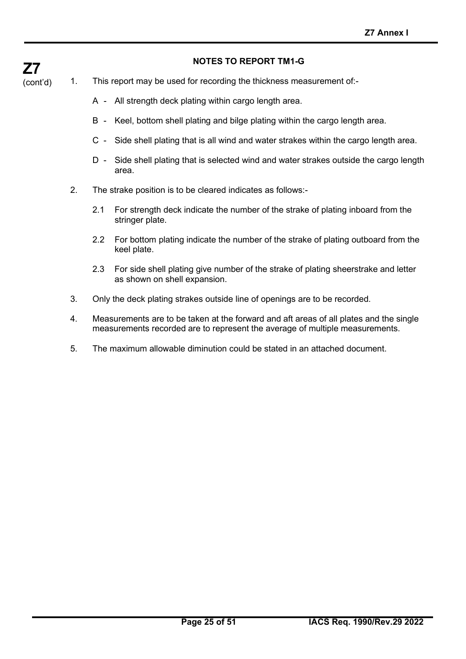# **Z7**

#### **NOTES TO REPORT TM1-G**

- (cont'd) 1. This report may be used for recording the thickness measurement of:-
	- A All strength deck plating within cargo length area.
	- B Keel, bottom shell plating and bilge plating within the cargo length area.
	- C Side shell plating that is all wind and water strakes within the cargo length area.
	- D Side shell plating that is selected wind and water strakes outside the cargo length area.
	- 2. The strake position is to be cleared indicates as follows:-
		- 2.1 For strength deck indicate the number of the strake of plating inboard from the stringer plate.
		- 2.2 For bottom plating indicate the number of the strake of plating outboard from the keel plate.
		- 2.3 For side shell plating give number of the strake of plating sheerstrake and letter as shown on shell expansion.
	- 3. Only the deck plating strakes outside line of openings are to be recorded.
	- 4. Measurements are to be taken at the forward and aft areas of all plates and the single measurements recorded are to represent the average of multiple measurements.
	- 5. The maximum allowable diminution could be stated in an attached document.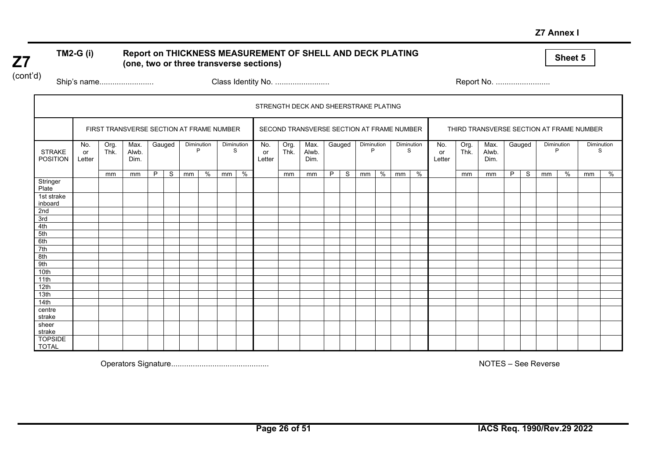#### **Z7 Annex I**

#### **Sheet 5 Report on THICKNESS MEASUREMENT OF SHELL AND DECK PLATING (one, two or three transverse sections)**

(cont'd)

**Z7**

Ship's name......................... Class Identity No. ......................... Report No. .........................

|                                  | STRENGTH DECK AND SHEERSTRAKE PLATING |              |                                          |        |   |            |   |                 |               |                     |              |                                           |   |        |                 |   |                 |               |                     |              |                                          |        |   |                 |   |                 |      |
|----------------------------------|---------------------------------------|--------------|------------------------------------------|--------|---|------------|---|-----------------|---------------|---------------------|--------------|-------------------------------------------|---|--------|-----------------|---|-----------------|---------------|---------------------|--------------|------------------------------------------|--------|---|-----------------|---|-----------------|------|
|                                  |                                       |              | FIRST TRANSVERSE SECTION AT FRAME NUMBER |        |   |            |   |                 |               |                     |              | SECOND TRANSVERSE SECTION AT FRAME NUMBER |   |        |                 |   |                 |               |                     |              | THIRD TRANSVERSE SECTION AT FRAME NUMBER |        |   |                 |   |                 |      |
| <b>STRAKE</b><br><b>POSITION</b> | No.<br>or<br>Letter                   | Org.<br>Thk. | Max.<br>Alwb.<br>Dim.                    | Gauged |   | Diminution | P | Diminution<br>S |               | No.<br>or<br>Letter | Org.<br>Thk. | Max.<br>Alwb.<br>Dim.                     |   | Gauged | Diminution<br>P |   | Diminution<br>S |               | No.<br>or<br>Letter | Org.<br>Thk. | Max.<br>Alwb.<br>Dim.                    | Gauged |   | Diminution<br>P |   | Diminution<br>S |      |
|                                  |                                       | mm           | mm                                       | P      | S | mm         | % | mm              | $\frac{1}{2}$ |                     | mm           | mm                                        | P | S      | mm              | % | mm              | $\frac{9}{6}$ |                     | mm           | mm                                       | P      | S | mm              | % | mm              | $\%$ |
| Stringer<br>Plate                |                                       |              |                                          |        |   |            |   |                 |               |                     |              |                                           |   |        |                 |   |                 |               |                     |              |                                          |        |   |                 |   |                 |      |
| 1st strake<br>inboard            |                                       |              |                                          |        |   |            |   |                 |               |                     |              |                                           |   |        |                 |   |                 |               |                     |              |                                          |        |   |                 |   |                 |      |
| 2nd                              |                                       |              |                                          |        |   |            |   |                 |               |                     |              |                                           |   |        |                 |   |                 |               |                     |              |                                          |        |   |                 |   |                 |      |
| 3rd                              |                                       |              |                                          |        |   |            |   |                 |               |                     |              |                                           |   |        |                 |   |                 |               |                     |              |                                          |        |   |                 |   |                 |      |
| 4th                              |                                       |              |                                          |        |   |            |   |                 |               |                     |              |                                           |   |        |                 |   |                 |               |                     |              |                                          |        |   |                 |   |                 |      |
| 5th                              |                                       |              |                                          |        |   |            |   |                 |               |                     |              |                                           |   |        |                 |   |                 |               |                     |              |                                          |        |   |                 |   |                 |      |
| 6th                              |                                       |              |                                          |        |   |            |   |                 |               |                     |              |                                           |   |        |                 |   |                 |               |                     |              |                                          |        |   |                 |   |                 |      |
| 7th                              |                                       |              |                                          |        |   |            |   |                 |               |                     |              |                                           |   |        |                 |   |                 |               |                     |              |                                          |        |   |                 |   |                 |      |
| 8th                              |                                       |              |                                          |        |   |            |   |                 |               |                     |              |                                           |   |        |                 |   |                 |               |                     |              |                                          |        |   |                 |   |                 |      |
| 9th                              |                                       |              |                                          |        |   |            |   |                 |               |                     |              |                                           |   |        |                 |   |                 |               |                     |              |                                          |        |   |                 |   |                 |      |
| 10th                             |                                       |              |                                          |        |   |            |   |                 |               |                     |              |                                           |   |        |                 |   |                 |               |                     |              |                                          |        |   |                 |   |                 |      |
| 11th                             |                                       |              |                                          |        |   |            |   |                 |               |                     |              |                                           |   |        |                 |   |                 |               |                     |              |                                          |        |   |                 |   |                 |      |
| 12th                             |                                       |              |                                          |        |   |            |   |                 |               |                     |              |                                           |   |        |                 |   |                 |               |                     |              |                                          |        |   |                 |   |                 |      |
| 13th                             |                                       |              |                                          |        |   |            |   |                 |               |                     |              |                                           |   |        |                 |   |                 |               |                     |              |                                          |        |   |                 |   |                 |      |
| 14th                             |                                       |              |                                          |        |   |            |   |                 |               |                     |              |                                           |   |        |                 |   |                 |               |                     |              |                                          |        |   |                 |   |                 |      |
| centre                           |                                       |              |                                          |        |   |            |   |                 |               |                     |              |                                           |   |        |                 |   |                 |               |                     |              |                                          |        |   |                 |   |                 |      |
| strake                           |                                       |              |                                          |        |   |            |   |                 |               |                     |              |                                           |   |        |                 |   |                 |               |                     |              |                                          |        |   |                 |   |                 |      |
| sheer<br>strake                  |                                       |              |                                          |        |   |            |   |                 |               |                     |              |                                           |   |        |                 |   |                 |               |                     |              |                                          |        |   |                 |   |                 |      |
| <b>TOPSIDE</b><br><b>TOTAL</b>   |                                       |              |                                          |        |   |            |   |                 |               |                     |              |                                           |   |        |                 |   |                 |               |                     |              |                                          |        |   |                 |   |                 |      |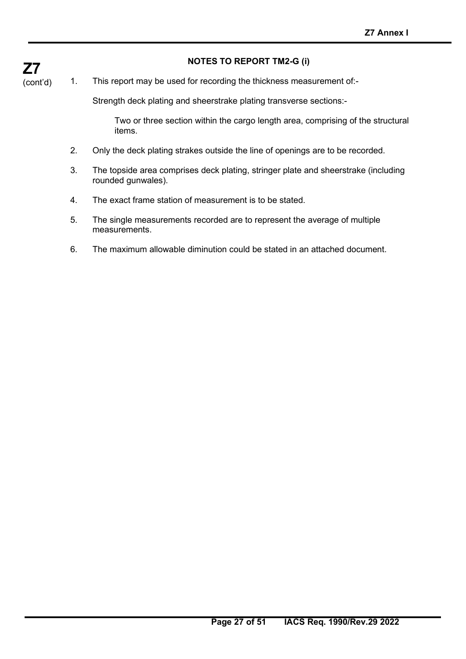#### **NOTES TO REPORT TM2-G (i)**

1. This report may be used for recording the thickness measurement of:-

Strength deck plating and sheerstrake plating transverse sections:-

Two or three section within the cargo length area, comprising of the structural items.

- 2. Only the deck plating strakes outside the line of openings are to be recorded.
- 3. The topside area comprises deck plating, stringer plate and sheerstrake (including rounded gunwales).
- 4. The exact frame station of measurement is to be stated.
- 5. The single measurements recorded are to represent the average of multiple measurements.
- 6. The maximum allowable diminution could be stated in an attached document.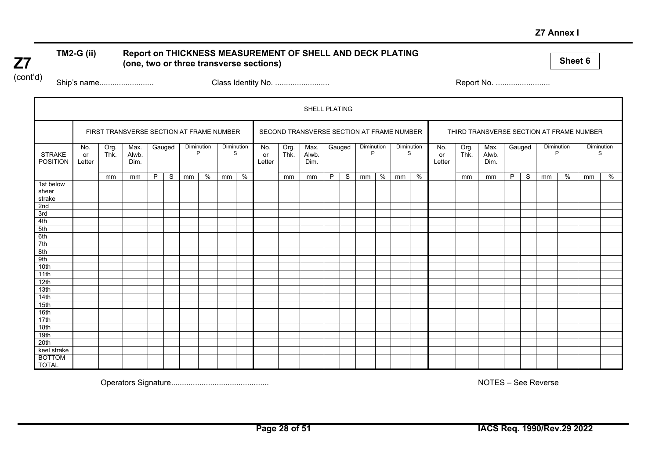#### **Z7 Annex I**

#### **TM2-G (ii) Report on THICKNESS MEASUREMENT OF SHELL AND DECK PLATING (one, two or three transverse sections)**

**Sheet 6**

(cont'd)

**Z7**

Ship's name......................... Class Identity No. ......................... Report No. .........................

|                                  | SHELL PLATING       |              |                                          |   |              |            |               |                 |               |                     |              |                                           |   |        |                 |   |                 |   |                     |              |                                          |   |              |    |                 |            |   |
|----------------------------------|---------------------|--------------|------------------------------------------|---|--------------|------------|---------------|-----------------|---------------|---------------------|--------------|-------------------------------------------|---|--------|-----------------|---|-----------------|---|---------------------|--------------|------------------------------------------|---|--------------|----|-----------------|------------|---|
|                                  |                     |              | FIRST TRANSVERSE SECTION AT FRAME NUMBER |   |              |            |               |                 |               |                     |              | SECOND TRANSVERSE SECTION AT FRAME NUMBER |   |        |                 |   |                 |   |                     |              | THIRD TRANSVERSE SECTION AT FRAME NUMBER |   |              |    |                 |            |   |
| <b>STRAKE</b><br><b>POSITION</b> | No.<br>or<br>Letter | Org.<br>Thk. | Max.<br>Alwb.<br>Dim.                    |   | Gauged       | Diminution | D             | Diminution<br>S |               | No.<br>or<br>Letter | Org.<br>Thk. | Max.<br>Alwb.<br>Dim.                     |   | Gauged | Diminution<br>P |   | Diminution<br>S |   | No.<br>or<br>Letter | Org.<br>Thk. | Max.<br>Alwb.<br>Dim.                    |   | Gauged       |    | Diminution<br>P | Diminution | S |
|                                  |                     | mm           | mm                                       | P | <sub>S</sub> | mm         | $\frac{9}{6}$ | mm              | $\frac{9}{6}$ |                     | mm           | mm                                        | P | S.     | mm              | % | mm              | % |                     | mm           | mm                                       | P | <sub>S</sub> | mm | %               | mm         | % |
| 1st below<br>sheer<br>strake     |                     |              |                                          |   |              |            |               |                 |               |                     |              |                                           |   |        |                 |   |                 |   |                     |              |                                          |   |              |    |                 |            |   |
| 2nd                              |                     |              |                                          |   |              |            |               |                 |               |                     |              |                                           |   |        |                 |   |                 |   |                     |              |                                          |   |              |    |                 |            |   |
| 3rd                              |                     |              |                                          |   |              |            |               |                 |               |                     |              |                                           |   |        |                 |   |                 |   |                     |              |                                          |   |              |    |                 |            |   |
| 4th                              |                     |              |                                          |   |              |            |               |                 |               |                     |              |                                           |   |        |                 |   |                 |   |                     |              |                                          |   |              |    |                 |            |   |
| 5th                              |                     |              |                                          |   |              |            |               |                 |               |                     |              |                                           |   |        |                 |   |                 |   |                     |              |                                          |   |              |    |                 |            |   |
| 6th                              |                     |              |                                          |   |              |            |               |                 |               |                     |              |                                           |   |        |                 |   |                 |   |                     |              |                                          |   |              |    |                 |            |   |
| 7th                              |                     |              |                                          |   |              |            |               |                 |               |                     |              |                                           |   |        |                 |   |                 |   |                     |              |                                          |   |              |    |                 |            |   |
| 8th                              |                     |              |                                          |   |              |            |               |                 |               |                     |              |                                           |   |        |                 |   |                 |   |                     |              |                                          |   |              |    |                 |            |   |
| 9th                              |                     |              |                                          |   |              |            |               |                 |               |                     |              |                                           |   |        |                 |   |                 |   |                     |              |                                          |   |              |    |                 |            |   |
| 10th                             |                     |              |                                          |   |              |            |               |                 |               |                     |              |                                           |   |        |                 |   |                 |   |                     |              |                                          |   |              |    |                 |            |   |
| 11th                             |                     |              |                                          |   |              |            |               |                 |               |                     |              |                                           |   |        |                 |   |                 |   |                     |              |                                          |   |              |    |                 |            |   |
| 12th                             |                     |              |                                          |   |              |            |               |                 |               |                     |              |                                           |   |        |                 |   |                 |   |                     |              |                                          |   |              |    |                 |            |   |
| 13th                             |                     |              |                                          |   |              |            |               |                 |               |                     |              |                                           |   |        |                 |   |                 |   |                     |              |                                          |   |              |    |                 |            |   |
| 14th                             |                     |              |                                          |   |              |            |               |                 |               |                     |              |                                           |   |        |                 |   |                 |   |                     |              |                                          |   |              |    |                 |            |   |
| 15th                             |                     |              |                                          |   |              |            |               |                 |               |                     |              |                                           |   |        |                 |   |                 |   |                     |              |                                          |   |              |    |                 |            |   |
| 16th                             |                     |              |                                          |   |              |            |               |                 |               |                     |              |                                           |   |        |                 |   |                 |   |                     |              |                                          |   |              |    |                 |            |   |
| 17th                             |                     |              |                                          |   |              |            |               |                 |               |                     |              |                                           |   |        |                 |   |                 |   |                     |              |                                          |   |              |    |                 |            |   |
| 18th                             |                     |              |                                          |   |              |            |               |                 |               |                     |              |                                           |   |        |                 |   |                 |   |                     |              |                                          |   |              |    |                 |            |   |
| 19th                             |                     |              |                                          |   |              |            |               |                 |               |                     |              |                                           |   |        |                 |   |                 |   |                     |              |                                          |   |              |    |                 |            |   |
| 20th                             |                     |              |                                          |   |              |            |               |                 |               |                     |              |                                           |   |        |                 |   |                 |   |                     |              |                                          |   |              |    |                 |            |   |
| keel strake                      |                     |              |                                          |   |              |            |               |                 |               |                     |              |                                           |   |        |                 |   |                 |   |                     |              |                                          |   |              |    |                 |            |   |
| <b>BOTTOM</b><br><b>TOTAL</b>    |                     |              |                                          |   |              |            |               |                 |               |                     |              |                                           |   |        |                 |   |                 |   |                     |              |                                          |   |              |    |                 |            |   |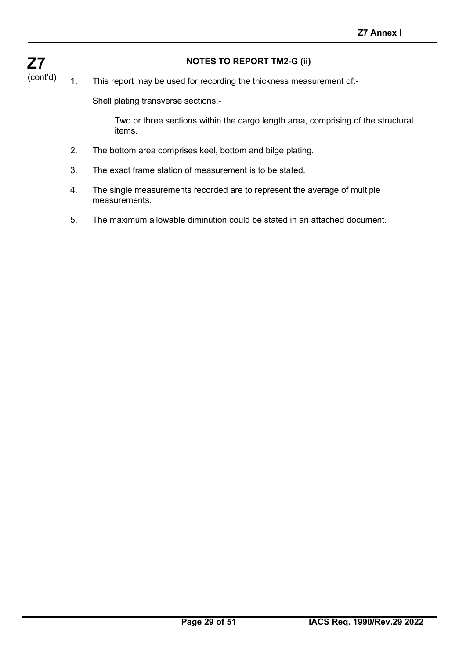#### **NOTES TO REPORT TM2-G (ii)**

**Z7** (cont'd)

#### 1. This report may be used for recording the thickness measurement of:-

Shell plating transverse sections:-

Two or three sections within the cargo length area, comprising of the structural items.

- 2. The bottom area comprises keel, bottom and bilge plating.
- 3. The exact frame station of measurement is to be stated.
- 4. The single measurements recorded are to represent the average of multiple measurements.
- 5. The maximum allowable diminution could be stated in an attached document.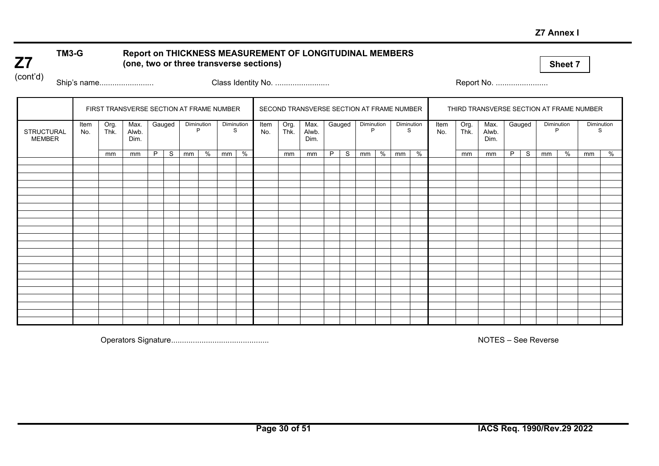#### **Z7 Annex I**

#### **TM3-G Report on THICKNESS MEASUREMENT OF LONGITUDINAL MEMBERS (one, two or three transverse sections)**

**Sheet 7**

(cont'd)

**Z7**

Ship's name......................... Class Identity No. ......................... Report No. ........................

|                             |             |              | FIRST TRANSVERSE SECTION AT FRAME NUMBER |   |        |    |                 |                 |   |             |              | SECOND TRANSVERSE SECTION AT FRAME NUMBER |   |        |                 |   |                 |   |             | THIRD TRANSVERSE SECTION AT FRAME NUMBER |                       |   |        |                 |   |            |   |
|-----------------------------|-------------|--------------|------------------------------------------|---|--------|----|-----------------|-----------------|---|-------------|--------------|-------------------------------------------|---|--------|-----------------|---|-----------------|---|-------------|------------------------------------------|-----------------------|---|--------|-----------------|---|------------|---|
| STRUCTURAL<br><b>MEMBER</b> | Item<br>No. | Org.<br>Thk. | Max.<br>Alwb.<br>Dim.                    |   | Gauged |    | Diminution<br>P | Diminution<br>S |   | Item<br>No. | Org.<br>Thk. | Max.<br>Alwb.<br>Dim.                     |   | Gauged | Diminution<br>P |   | Diminution<br>S |   | Item<br>No. | Org.<br>Thk.                             | Max.<br>Alwb.<br>Dim. |   | Gauged | Diminution<br>P |   | Diminution | S |
|                             |             | mm           | mm                                       | P | S      | mm | %               | mm              | % |             | mm           | mm                                        | P | S.     | mm              | % | mm              | % |             | mm                                       | mm                    | P | S      | mm              | % | mm         | % |
|                             |             |              |                                          |   |        |    |                 |                 |   |             |              |                                           |   |        |                 |   |                 |   |             |                                          |                       |   |        |                 |   |            |   |
|                             |             |              |                                          |   |        |    |                 |                 |   |             |              |                                           |   |        |                 |   |                 |   |             |                                          |                       |   |        |                 |   |            |   |
|                             |             |              |                                          |   |        |    |                 |                 |   |             |              |                                           |   |        |                 |   |                 |   |             |                                          |                       |   |        |                 |   |            |   |
|                             |             |              |                                          |   |        |    |                 |                 |   |             |              |                                           |   |        |                 |   |                 |   |             |                                          |                       |   |        |                 |   |            |   |
|                             |             |              |                                          |   |        |    |                 |                 |   |             |              |                                           |   |        |                 |   |                 |   |             |                                          |                       |   |        |                 |   |            |   |
|                             |             |              |                                          |   |        |    |                 |                 |   |             |              |                                           |   |        |                 |   |                 |   |             |                                          |                       |   |        |                 |   |            |   |
|                             |             |              |                                          |   |        |    |                 |                 |   |             |              |                                           |   |        |                 |   |                 |   |             |                                          |                       |   |        |                 |   |            |   |
|                             |             |              |                                          |   |        |    |                 |                 |   |             |              |                                           |   |        |                 |   |                 |   |             |                                          |                       |   |        |                 |   |            |   |
|                             |             |              |                                          |   |        |    |                 |                 |   |             |              |                                           |   |        |                 |   |                 |   |             |                                          |                       |   |        |                 |   |            |   |
|                             |             |              |                                          |   |        |    |                 |                 |   |             |              |                                           |   |        |                 |   |                 |   |             |                                          |                       |   |        |                 |   |            |   |
|                             |             |              |                                          |   |        |    |                 |                 |   |             |              |                                           |   |        |                 |   |                 |   |             |                                          |                       |   |        |                 |   |            |   |
|                             |             |              |                                          |   |        |    |                 |                 |   |             |              |                                           |   |        |                 |   |                 |   |             |                                          |                       |   |        |                 |   |            |   |
|                             |             |              |                                          |   |        |    |                 |                 |   |             |              |                                           |   |        |                 |   |                 |   |             |                                          |                       |   |        |                 |   |            |   |
|                             |             |              |                                          |   |        |    |                 |                 |   |             |              |                                           |   |        |                 |   |                 |   |             |                                          |                       |   |        |                 |   |            |   |
|                             |             |              |                                          |   |        |    |                 |                 |   |             |              |                                           |   |        |                 |   |                 |   |             |                                          |                       |   |        |                 |   |            |   |
|                             |             |              |                                          |   |        |    |                 |                 |   |             |              |                                           |   |        |                 |   |                 |   |             |                                          |                       |   |        |                 |   |            |   |
|                             |             |              |                                          |   |        |    |                 |                 |   |             |              |                                           |   |        |                 |   |                 |   |             |                                          |                       |   |        |                 |   |            |   |
|                             |             |              |                                          |   |        |    |                 |                 |   |             |              |                                           |   |        |                 |   |                 |   |             |                                          |                       |   |        |                 |   |            |   |
|                             |             |              |                                          |   |        |    |                 |                 |   |             |              |                                           |   |        |                 |   |                 |   |             |                                          |                       |   |        |                 |   |            |   |
|                             |             |              |                                          |   |        |    |                 |                 |   |             |              |                                           |   |        |                 |   |                 |   |             |                                          |                       |   |        |                 |   |            |   |
|                             |             |              |                                          |   |        |    |                 |                 |   |             |              |                                           |   |        |                 |   |                 |   |             |                                          |                       |   |        |                 |   |            |   |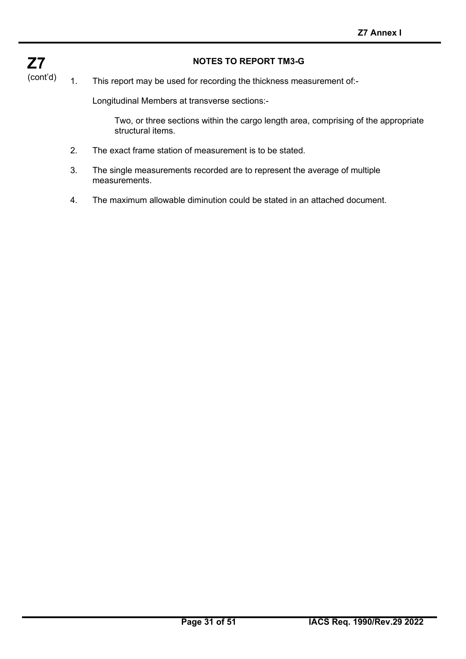#### **NOTES TO REPORT TM3-G**

#### 1. This report may be used for recording the thickness measurement of:-

Longitudinal Members at transverse sections:-

Two, or three sections within the cargo length area, comprising of the appropriate structural items.

- 2. The exact frame station of measurement is to be stated.
- 3. The single measurements recorded are to represent the average of multiple measurements.
- 4. The maximum allowable diminution could be stated in an attached document.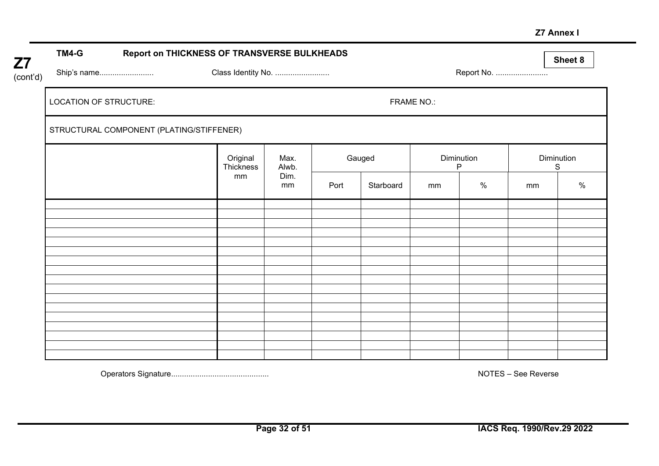#### **Z7 Annex I**

| Z7       | TM4-G                  | Report on THICKNESS OF TRANSVERSE BULKHEADS |                       |               |      |           |                   |                                |            | Sheet 8 |
|----------|------------------------|---------------------------------------------|-----------------------|---------------|------|-----------|-------------------|--------------------------------|------------|---------|
| (cont'd) |                        | Ship's name                                 | Class Identity No.    |               |      |           |                   | Report No.                     |            |         |
|          | LOCATION OF STRUCTURE: |                                             |                       |               |      |           | <b>FRAME NO.:</b> |                                |            |         |
|          |                        | STRUCTURAL COMPONENT (PLATING/STIFFENER)    |                       |               |      |           |                   |                                |            |         |
|          |                        |                                             | Original<br>Thickness | Max.<br>Alwb. |      | Gauged    |                   | <b>Diminution</b><br>${\sf P}$ | Diminution | S       |
|          |                        |                                             | mm                    | Dim.<br>mm    | Port | Starboard | mm                | $\%$                           | mm         | $\%$    |
|          |                        |                                             |                       |               |      |           |                   |                                |            |         |
|          |                        |                                             |                       |               |      |           |                   |                                |            |         |
|          |                        |                                             |                       |               |      |           |                   |                                |            |         |
|          |                        |                                             |                       |               |      |           |                   |                                |            |         |
|          |                        |                                             |                       |               |      |           |                   |                                |            |         |
|          |                        |                                             |                       |               |      |           |                   |                                |            |         |
|          |                        |                                             |                       |               |      |           |                   |                                |            |         |
|          |                        |                                             |                       |               |      |           |                   |                                |            |         |
|          |                        |                                             |                       |               |      |           |                   |                                |            |         |
|          |                        |                                             |                       |               |      |           |                   |                                |            |         |
|          |                        |                                             |                       |               |      |           |                   |                                |            |         |
|          |                        |                                             |                       |               |      |           |                   |                                |            |         |
|          |                        |                                             |                       |               |      |           |                   |                                |            |         |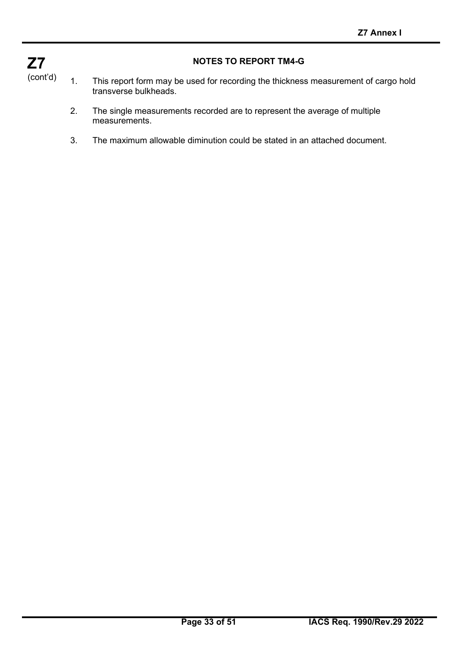

#### **NOTES TO REPORT TM4-G**

- 1. This report form may be used for recording the thickness measurement of cargo hold transverse bulkheads.
	- 2. The single measurements recorded are to represent the average of multiple measurements.
	- 3. The maximum allowable diminution could be stated in an attached document.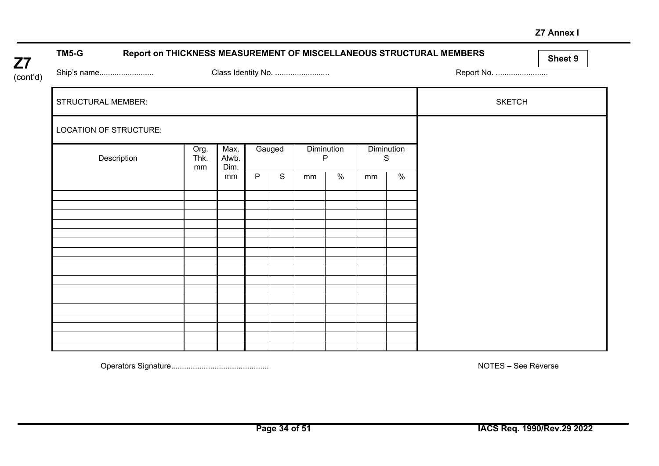#### **Z7 Annex I**

| <b>Z7</b> | TM5-G                     |    |              |                       |   |             |                    |      |                 |      | Report on THICKNESS MEASUREMENT OF MISCELLANEOUS STRUCTURAL MEMBERS | Sheet 9 |
|-----------|---------------------------|----|--------------|-----------------------|---|-------------|--------------------|------|-----------------|------|---------------------------------------------------------------------|---------|
| (cont'd)  | Ship's name               |    |              |                       |   |             | Class Identity No. |      |                 |      | Report No.                                                          |         |
|           | <b>STRUCTURAL MEMBER:</b> |    |              |                       |   |             |                    |      |                 |      | <b>SKETCH</b>                                                       |         |
|           | LOCATION OF STRUCTURE:    |    |              |                       |   |             |                    |      |                 |      |                                                                     |         |
|           | Description               | mm | Org.<br>Thk. | Max.<br>Alwb.<br>Dim. |   | Gauged      | Diminution<br>P    |      | Diminution<br>S |      |                                                                     |         |
|           |                           |    |              | mm                    | P | $\mathsf S$ | mm                 | $\%$ | mm              | $\%$ |                                                                     |         |
|           |                           |    |              |                       |   |             |                    |      |                 |      |                                                                     |         |
|           |                           |    |              |                       |   |             |                    |      |                 |      |                                                                     |         |
|           |                           |    |              |                       |   |             |                    |      |                 |      |                                                                     |         |
|           |                           |    |              |                       |   |             |                    |      |                 |      |                                                                     |         |
|           |                           |    |              |                       |   |             |                    |      |                 |      |                                                                     |         |
|           |                           |    |              |                       |   |             |                    |      |                 |      |                                                                     |         |
|           |                           |    |              |                       |   |             |                    |      |                 |      |                                                                     |         |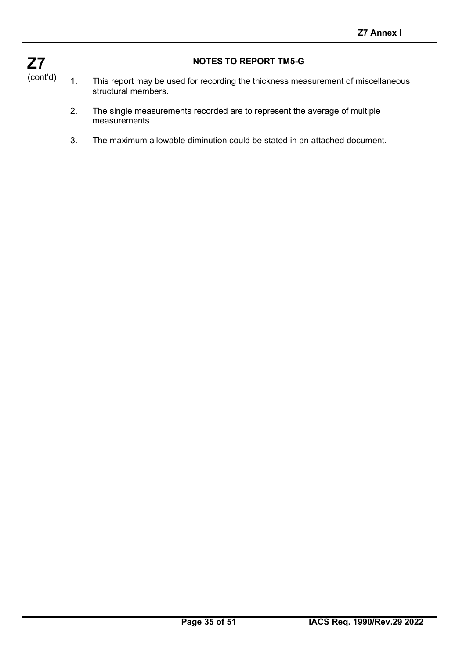

#### **NOTES TO REPORT TM5-G**

- 1. This report may be used for recording the thickness measurement of miscellaneous structural members.
	- 2. The single measurements recorded are to represent the average of multiple measurements.
	- 3. The maximum allowable diminution could be stated in an attached document.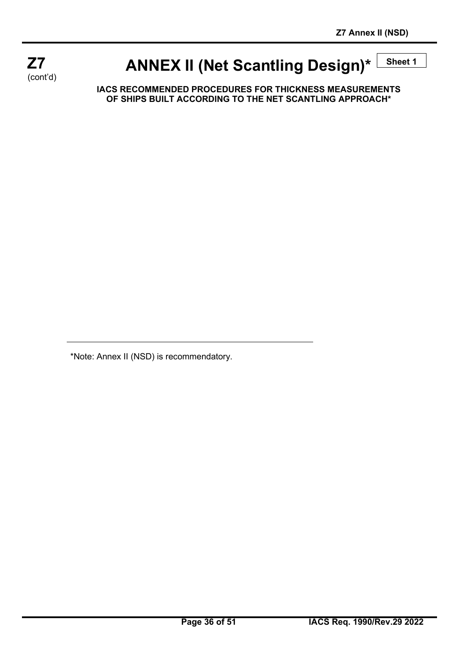

# **ANNEX II (Net Scantling Design)\***  $\frac{\text{Sheet 1}}{\text{Sheet 2}}$

**IACS RECOMMENDED PROCEDURES FOR THICKNESS MEASUREMENTS OF SHIPS BUILT ACCORDING TO THE NET SCANTLING APPROACH\***

\*Note: Annex II (NSD) is recommendatory.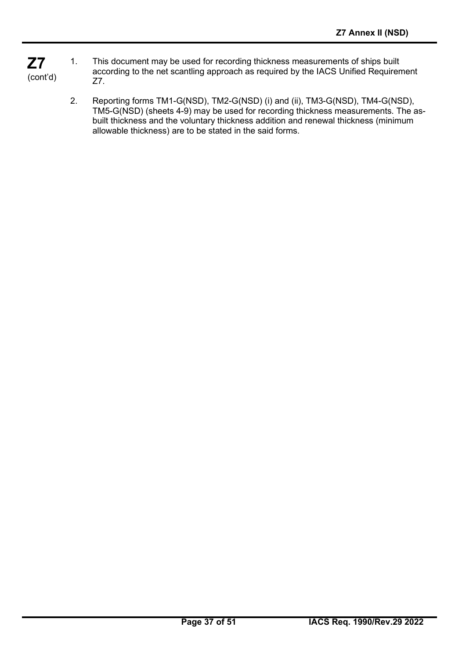- **Z7** (cont'd) 1. This document may be used for recording thickness measurements of ships built according to the net scantling approach as required by the IACS Unified Requirement Z7.
	- 2. Reporting forms TM1-G(NSD), TM2-G(NSD) (i) and (ii), TM3-G(NSD), TM4-G(NSD), TM5-G(NSD) (sheets 4-9) may be used for recording thickness measurements. The asbuilt thickness and the voluntary thickness addition and renewal thickness (minimum allowable thickness) are to be stated in the said forms.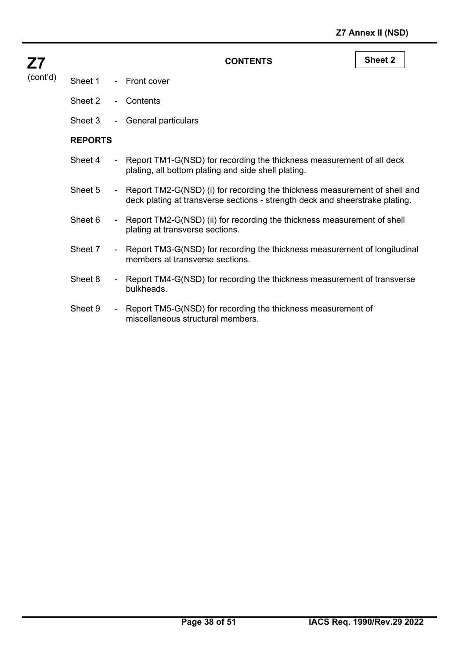| <b>Z7</b> |                                |
|-----------|--------------------------------|
|           | (cont'd) Sheet 1 - Front cover |
|           | Sheet 2 - Contents             |
|           | Sheet 3 - General particulars  |

**CONTENTS Sheet 2**

- **REPORTS**
- Sheet 4 Report TM1-G(NSD) for recording the thickness measurement of all deck plating, all bottom plating and side shell plating.
- Sheet 5 Report TM2-G(NSD) (i) for recording the thickness measurement of shell and deck plating at transverse sections - strength deck and sheerstrake plating.
- Sheet 6 Report TM2-G(NSD) (ii) for recording the thickness measurement of shell plating at transverse sections.
- Sheet 7 Report TM3-G(NSD) for recording the thickness measurement of longitudinal members at transverse sections.
- Sheet 8 Report TM4-G(NSD) for recording the thickness measurement of transverse bulkheads.
- Sheet 9 Report TM5-G(NSD) for recording the thickness measurement of miscellaneous structural members.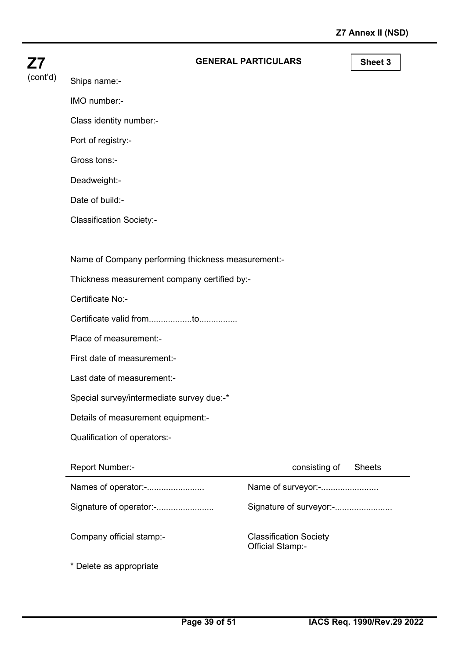| <b>GENERAL PARTICULARS</b> |  |
|----------------------------|--|
|----------------------------|--|

**Sheet 3** 

(cont'd) Ships name:-

**Z7**

IMO number:-

Class identity number:-

Port of registry:-

Gross tons:-

Deadweight:-

Date of build:-

Classification Society:-

Name of Company performing thickness measurement:-

Thickness measurement company certified by:-

Certificate No:-

Certificate valid from..................to................

Place of measurement:-

First date of measurement:-

Last date of measurement:-

Special survey/intermediate survey due:-\*

Details of measurement equipment:-

Qualification of operators:-

| <b>Report Number:-</b>   | consisting of<br><b>Sheets</b>                           |
|--------------------------|----------------------------------------------------------|
| Names of operator:-      | Name of surveyor:-                                       |
| Signature of operator:-  | Signature of surveyor:-                                  |
| Company official stamp:- | <b>Classification Society</b><br><b>Official Stamp:-</b> |
| * Delete as appropriate  |                                                          |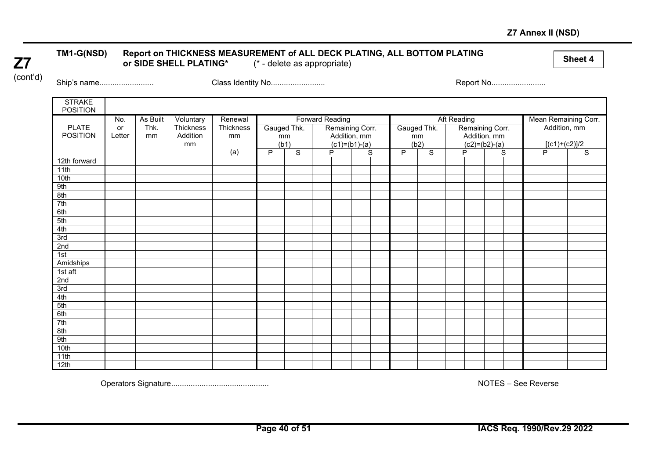#### **Z7 Annex II (NSD)**

# **Z7**

#### TM1-G(NSD) Report on THICKNESS MEASUREMENT of ALL DECK PLATING, ALL BOTTOM PLATING<br>or SIDE SHELL PLATING\* (\* - delete as appropriate) or SIDE SHELL PLATING\*

(cont'd)

Ship's name......................... Class Identity No......................... Report No.........................

| <b>STRAKE</b><br><b>POSITION</b> |        |          |           |           |   |                |                        |   |                 |   |                |                    |                 |                |                      |                |
|----------------------------------|--------|----------|-----------|-----------|---|----------------|------------------------|---|-----------------|---|----------------|--------------------|-----------------|----------------|----------------------|----------------|
|                                  | No.    | As Built | Voluntary | Renewal   |   |                | <b>Forward Reading</b> |   |                 |   |                | <b>Aft Reading</b> |                 |                | Mean Remaining Corr. |                |
| <b>PLATE</b>                     | or     | Thk.     | Thickness | Thickness |   | Gauged Thk.    |                        |   | Remaining Corr. |   | Gauged Thk.    |                    | Remaining Corr. |                | Addition, mm         |                |
| <b>POSITION</b>                  | Letter | mm       | Addition  | mm        |   | mm             |                        |   | Addition, mm    |   | mm             |                    | Addition, mm    |                |                      |                |
|                                  |        |          | mm        |           |   | (b1)           |                        |   | $(c1)=(b1)-(a)$ |   | (b2)           |                    | $(c2)=(b2)-(a)$ |                | $[(c1)+(c2)]/2$      |                |
|                                  |        |          |           | (a)       | P | $\overline{s}$ |                        | P | $\overline{s}$  | P | $\overline{s}$ |                    | P               | $\overline{s}$ | P                    | $\overline{s}$ |
| 12th forward                     |        |          |           |           |   |                |                        |   |                 |   |                |                    |                 |                |                      |                |
| 11th                             |        |          |           |           |   |                |                        |   |                 |   |                |                    |                 |                |                      |                |
| 10th                             |        |          |           |           |   |                |                        |   |                 |   |                |                    |                 |                |                      |                |
| 9th                              |        |          |           |           |   |                |                        |   |                 |   |                |                    |                 |                |                      |                |
| 8th                              |        |          |           |           |   |                |                        |   |                 |   |                |                    |                 |                |                      |                |
| 7th                              |        |          |           |           |   |                |                        |   |                 |   |                |                    |                 |                |                      |                |
| 6th                              |        |          |           |           |   |                |                        |   |                 |   |                |                    |                 |                |                      |                |
| 5th                              |        |          |           |           |   |                |                        |   |                 |   |                |                    |                 |                |                      |                |
| 4th                              |        |          |           |           |   |                |                        |   |                 |   |                |                    |                 |                |                      |                |
| 3rd                              |        |          |           |           |   |                |                        |   |                 |   |                |                    |                 |                |                      |                |
| 2nd                              |        |          |           |           |   |                |                        |   |                 |   |                |                    |                 |                |                      |                |
| 1st                              |        |          |           |           |   |                |                        |   |                 |   |                |                    |                 |                |                      |                |
| Amidships                        |        |          |           |           |   |                |                        |   |                 |   |                |                    |                 |                |                      |                |
| 1st aft                          |        |          |           |           |   |                |                        |   |                 |   |                |                    |                 |                |                      |                |
| 2nd                              |        |          |           |           |   |                |                        |   |                 |   |                |                    |                 |                |                      |                |
| 3rd                              |        |          |           |           |   |                |                        |   |                 |   |                |                    |                 |                |                      |                |
| 4th                              |        |          |           |           |   |                |                        |   |                 |   |                |                    |                 |                |                      |                |
| 5th                              |        |          |           |           |   |                |                        |   |                 |   |                |                    |                 |                |                      |                |
| 6th                              |        |          |           |           |   |                |                        |   |                 |   |                |                    |                 |                |                      |                |
| 7th                              |        |          |           |           |   |                |                        |   |                 |   |                |                    |                 |                |                      |                |
| 8th                              |        |          |           |           |   |                |                        |   |                 |   |                |                    |                 |                |                      |                |
| 9th                              |        |          |           |           |   |                |                        |   |                 |   |                |                    |                 |                |                      |                |
| 10th                             |        |          |           |           |   |                |                        |   |                 |   |                |                    |                 |                |                      |                |
| 11th                             |        |          |           |           |   |                |                        |   |                 |   |                |                    |                 |                |                      |                |
| 12th                             |        |          |           |           |   |                |                        |   |                 |   |                |                    |                 |                |                      |                |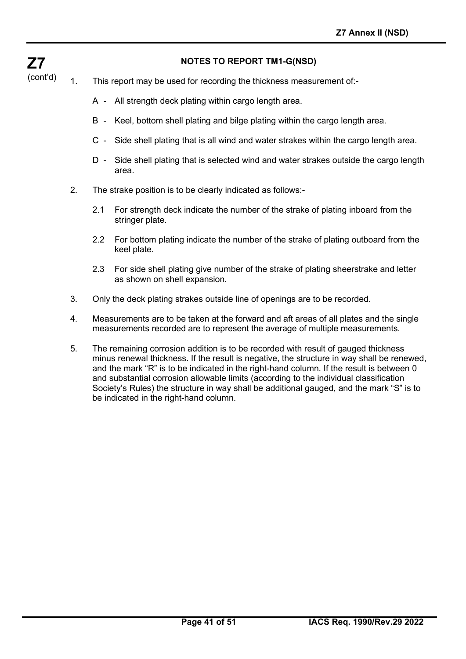#### **NOTES TO REPORT TM1-G(NSD)**

(cont'd) 1. This report may be used for recording the thickness measurement of:-

**Z7**

- A All strength deck plating within cargo length area.
- B Keel, bottom shell plating and bilge plating within the cargo length area.
- C Side shell plating that is all wind and water strakes within the cargo length area.
- D Side shell plating that is selected wind and water strakes outside the cargo length area.
- 2. The strake position is to be clearly indicated as follows:-
	- 2.1 For strength deck indicate the number of the strake of plating inboard from the stringer plate.
	- 2.2 For bottom plating indicate the number of the strake of plating outboard from the keel plate.
	- 2.3 For side shell plating give number of the strake of plating sheerstrake and letter as shown on shell expansion.
- 3. Only the deck plating strakes outside line of openings are to be recorded.
- 4. Measurements are to be taken at the forward and aft areas of all plates and the single measurements recorded are to represent the average of multiple measurements.
- 5. The remaining corrosion addition is to be recorded with result of gauged thickness minus renewal thickness. If the result is negative, the structure in way shall be renewed, and the mark "R" is to be indicated in the right-hand column. If the result is between 0 and substantial corrosion allowable limits (according to the individual classification Society's Rules) the structure in way shall be additional gauged, and the mark "S" is to be indicated in the right-hand column.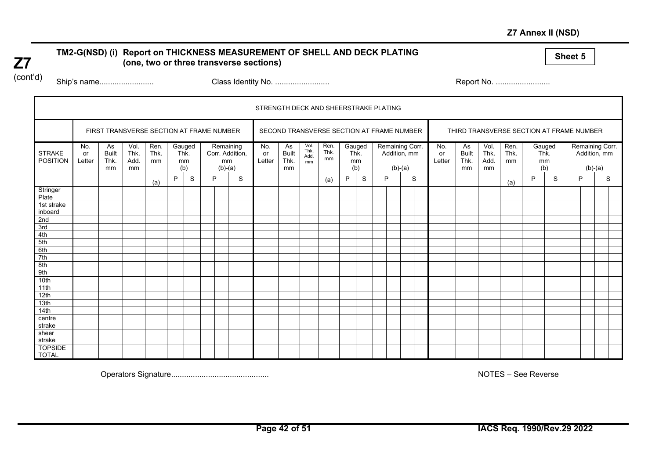#### **Z7 Annex II (NSD)**

#### **Sheet 5 TM2-G(NSD) (i) Report on THICKNESS MEASUREMENT OF SHELL AND DECK PLATING (one, two or three transverse sections)**

(cont'd)

**Z7**

Ship's name......................... Class Identity No. ......................... Report No. .........................

|                                  |                     |                                          |                            |                    |      |                     |   |                 |                              | STRENGTH DECK AND SHEERSTRAKE PLATING |                                           |                            |                    |                             |   |   |           |                                 |                     |                                  |                            |                                          |                             |   |                                 |           |   |
|----------------------------------|---------------------|------------------------------------------|----------------------------|--------------------|------|---------------------|---|-----------------|------------------------------|---------------------------------------|-------------------------------------------|----------------------------|--------------------|-----------------------------|---|---|-----------|---------------------------------|---------------------|----------------------------------|----------------------------|------------------------------------------|-----------------------------|---|---------------------------------|-----------|---|
|                                  |                     | FIRST TRANSVERSE SECTION AT FRAME NUMBER |                            |                    |      |                     |   |                 |                              |                                       | SECOND TRANSVERSE SECTION AT FRAME NUMBER |                            |                    |                             |   |   |           |                                 |                     |                                  |                            | THIRD TRANSVERSE SECTION AT FRAME NUMBER |                             |   |                                 |           |   |
| <b>STRAKE</b><br><b>POSITION</b> | No.<br>or<br>Letter | As<br><b>Built</b><br>Thk.<br>mm         | Vol.<br>Thk.<br>Add.<br>mm | Ren.<br>Thk.<br>mm | Thk. | Gauged<br>mm<br>(b) |   | mm<br>$(b)-(a)$ | Remaining<br>Corr. Addition, | No.<br>or<br>Letter                   | As<br><b>Built</b><br>Thk.<br>mm          | Vol.<br>Thk.<br>Add.<br>mm | Ren.<br>Thk.<br>mm | Gauged<br>Thk.<br>mm<br>(b) |   |   | $(b)-(a)$ | Remaining Corr.<br>Addition, mm | No.<br>or<br>Letter | As<br><b>Built</b><br>Thk.<br>mm | Vol.<br>Thk.<br>Add.<br>mm | Ren.<br>Thk.<br>mm                       | Gauged<br>Thk.<br>mm<br>(b) |   | Remaining Corr.<br>Addition, mm | $(b)-(a)$ |   |
|                                  |                     |                                          |                            | (a)                | P    | S                   | P |                 | S                            |                                       |                                           |                            | (a)                | P                           | S | P |           | S                               |                     |                                  |                            | (a)                                      | P                           | S | P                               |           | S |
| Stringer<br>Plate                |                     |                                          |                            |                    |      |                     |   |                 |                              |                                       |                                           |                            |                    |                             |   |   |           |                                 |                     |                                  |                            |                                          |                             |   |                                 |           |   |
| 1st strake<br>inboard            |                     |                                          |                            |                    |      |                     |   |                 |                              |                                       |                                           |                            |                    |                             |   |   |           |                                 |                     |                                  |                            |                                          |                             |   |                                 |           |   |
| 2nd                              |                     |                                          |                            |                    |      |                     |   |                 |                              |                                       |                                           |                            |                    |                             |   |   |           |                                 |                     |                                  |                            |                                          |                             |   |                                 |           |   |
| 3rd<br>4th                       |                     |                                          |                            |                    |      |                     |   |                 |                              |                                       |                                           |                            |                    |                             |   |   |           |                                 |                     |                                  |                            |                                          |                             |   |                                 |           |   |
| 5th                              |                     |                                          |                            |                    |      |                     |   |                 |                              |                                       |                                           |                            |                    |                             |   |   |           |                                 |                     |                                  |                            |                                          |                             |   |                                 |           |   |
| 6th                              |                     |                                          |                            |                    |      |                     |   |                 |                              |                                       |                                           |                            |                    |                             |   |   |           |                                 |                     |                                  |                            |                                          |                             |   |                                 |           |   |
| 7th                              |                     |                                          |                            |                    |      |                     |   |                 |                              |                                       |                                           |                            |                    |                             |   |   |           |                                 |                     |                                  |                            |                                          |                             |   |                                 |           |   |
| 8th                              |                     |                                          |                            |                    |      |                     |   |                 |                              |                                       |                                           |                            |                    |                             |   |   |           |                                 |                     |                                  |                            |                                          |                             |   |                                 |           |   |
| 9th                              |                     |                                          |                            |                    |      |                     |   |                 |                              |                                       |                                           |                            |                    |                             |   |   |           |                                 |                     |                                  |                            |                                          |                             |   |                                 |           |   |
| 10th                             |                     |                                          |                            |                    |      |                     |   |                 |                              |                                       |                                           |                            |                    |                             |   |   |           |                                 |                     |                                  |                            |                                          |                             |   |                                 |           |   |
| 11th                             |                     |                                          |                            |                    |      |                     |   |                 |                              |                                       |                                           |                            |                    |                             |   |   |           |                                 |                     |                                  |                            |                                          |                             |   |                                 |           |   |
| 12th                             |                     |                                          |                            |                    |      |                     |   |                 |                              |                                       |                                           |                            |                    |                             |   |   |           |                                 |                     |                                  |                            |                                          |                             |   |                                 |           |   |
| 13th                             |                     |                                          |                            |                    |      |                     |   |                 |                              |                                       |                                           |                            |                    |                             |   |   |           |                                 |                     |                                  |                            |                                          |                             |   |                                 |           |   |
| 14th                             |                     |                                          |                            |                    |      |                     |   |                 |                              |                                       |                                           |                            |                    |                             |   |   |           |                                 |                     |                                  |                            |                                          |                             |   |                                 |           |   |
| centre                           |                     |                                          |                            |                    |      |                     |   |                 |                              |                                       |                                           |                            |                    |                             |   |   |           |                                 |                     |                                  |                            |                                          |                             |   |                                 |           |   |
| strake                           |                     |                                          |                            |                    |      |                     |   |                 |                              |                                       |                                           |                            |                    |                             |   |   |           |                                 |                     |                                  |                            |                                          |                             |   |                                 |           |   |
| sheer<br>strake                  |                     |                                          |                            |                    |      |                     |   |                 |                              |                                       |                                           |                            |                    |                             |   |   |           |                                 |                     |                                  |                            |                                          |                             |   |                                 |           |   |
| <b>TOPSIDE</b><br><b>TOTAL</b>   |                     |                                          |                            |                    |      |                     |   |                 |                              |                                       |                                           |                            |                    |                             |   |   |           |                                 |                     |                                  |                            |                                          |                             |   |                                 |           |   |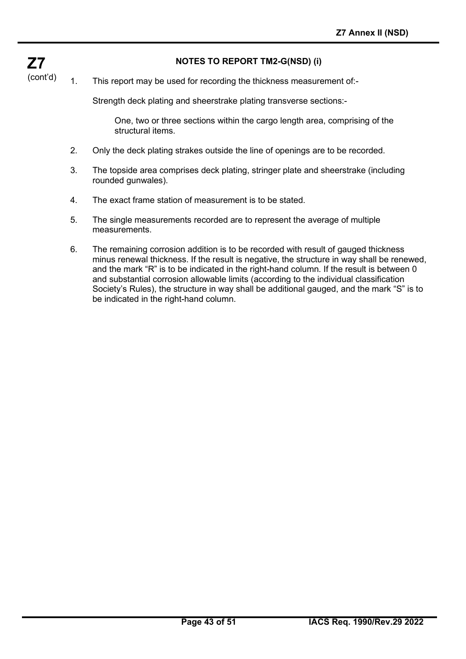#### **NOTES TO REPORT TM2-G(NSD) (i)**

**Z7** (cont'd)

1. This report may be used for recording the thickness measurement of:-

Strength deck plating and sheerstrake plating transverse sections:-

One, two or three sections within the cargo length area, comprising of the structural items.

- 2. Only the deck plating strakes outside the line of openings are to be recorded.
- 3. The topside area comprises deck plating, stringer plate and sheerstrake (including rounded gunwales).
- 4. The exact frame station of measurement is to be stated.
- 5. The single measurements recorded are to represent the average of multiple measurements.
- 6. The remaining corrosion addition is to be recorded with result of gauged thickness minus renewal thickness. If the result is negative, the structure in way shall be renewed, and the mark "R" is to be indicated in the right-hand column. If the result is between 0 and substantial corrosion allowable limits (according to the individual classification Society's Rules), the structure in way shall be additional gauged, and the mark "S" is to be indicated in the right-hand column.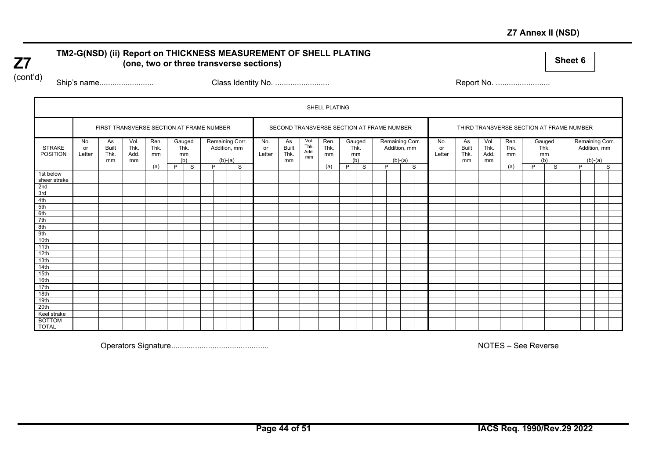#### **Z7 Annex II (NSD)**

#### **TM2-G(NSD) (ii) Report on THICKNESS MEASUREMENT OF SHELL PLATING (one, two or three transverse sections)**

**Sheet 6**

(cont'd)

**Z7**

Ship's name......................... Class Identity No. ......................... Report No. .........................

|                                  |                     |                                          |                            |                    |   |                             |   |                           |                 |                     |                                           |                            | SHELL PLATING      |            |               |   |           |                                 |                     |                                  |                            |                                          |   |                             |   |           |                                 |
|----------------------------------|---------------------|------------------------------------------|----------------------------|--------------------|---|-----------------------------|---|---------------------------|-----------------|---------------------|-------------------------------------------|----------------------------|--------------------|------------|---------------|---|-----------|---------------------------------|---------------------|----------------------------------|----------------------------|------------------------------------------|---|-----------------------------|---|-----------|---------------------------------|
|                                  |                     | FIRST TRANSVERSE SECTION AT FRAME NUMBER |                            |                    |   |                             |   |                           |                 |                     | SECOND TRANSVERSE SECTION AT FRAME NUMBER |                            |                    |            |               |   |           |                                 |                     |                                  |                            | THIRD TRANSVERSE SECTION AT FRAME NUMBER |   |                             |   |           |                                 |
| <b>STRAKE</b><br><b>POSITION</b> | No.<br>or<br>Letter | As<br><b>Built</b><br>Thk.<br>mm         | Vol.<br>Thk.<br>Add.<br>mm | Ren.<br>Thk.<br>mm |   | Gauged<br>Thk.<br>mm<br>(b) |   | Addition, mm<br>$(b)-(a)$ | Remaining Corr. | No.<br>or<br>Letter | As<br><b>Built</b><br>Thk.<br>mm          | Vol.<br>Thk.<br>Add.<br>mm | Ren.<br>Thk.<br>mm | Thk.<br>mm | Gauged<br>(b) |   | $(b)-(a)$ | Remaining Corr.<br>Addition, mm | No.<br>or<br>Letter | As<br><b>Built</b><br>Thk.<br>mm | Vol.<br>Thk.<br>Add.<br>mm | Ren.<br>Thk.<br>mm                       |   | Gauged<br>Thk.<br>mm<br>(b) |   | $(b)-(a)$ | Remaining Corr.<br>Addition, mm |
|                                  |                     |                                          |                            | (a)                | P | S.                          | D |                           | S               |                     |                                           |                            | (a)                | P          | S             | D |           | S                               |                     |                                  |                            | (a)                                      | P | S                           | D |           | S                               |
| 1st below<br>sheer strake<br>2nd |                     |                                          |                            |                    |   |                             |   |                           |                 |                     |                                           |                            |                    |            |               |   |           |                                 |                     |                                  |                            |                                          |   |                             |   |           |                                 |
| 3rd                              |                     |                                          |                            |                    |   |                             |   |                           |                 |                     |                                           |                            |                    |            |               |   |           |                                 |                     |                                  |                            |                                          |   |                             |   |           |                                 |
|                                  |                     |                                          |                            |                    |   |                             |   |                           |                 |                     |                                           |                            |                    |            |               |   |           |                                 |                     |                                  |                            |                                          |   |                             |   |           |                                 |
| 4th                              |                     |                                          |                            |                    |   |                             |   |                           |                 |                     |                                           |                            |                    |            |               |   |           |                                 |                     |                                  |                            |                                          |   |                             |   |           |                                 |
| 5th                              |                     |                                          |                            |                    |   |                             |   |                           |                 |                     |                                           |                            |                    |            |               |   |           |                                 |                     |                                  |                            |                                          |   |                             |   |           |                                 |
| 6th<br>7th                       |                     |                                          |                            |                    |   |                             |   |                           |                 |                     |                                           |                            |                    |            |               |   |           |                                 |                     |                                  |                            |                                          |   |                             |   |           |                                 |
| 8th                              |                     |                                          |                            |                    |   |                             |   |                           |                 |                     |                                           |                            |                    |            |               |   |           |                                 |                     |                                  |                            |                                          |   |                             |   |           |                                 |
| 9th                              |                     |                                          |                            |                    |   |                             |   |                           |                 |                     |                                           |                            |                    |            |               |   |           |                                 |                     |                                  |                            |                                          |   |                             |   |           |                                 |
| 10th                             |                     |                                          |                            |                    |   |                             |   |                           |                 |                     |                                           |                            |                    |            |               |   |           |                                 |                     |                                  |                            |                                          |   |                             |   |           |                                 |
| 11th                             |                     |                                          |                            |                    |   |                             |   |                           |                 |                     |                                           |                            |                    |            |               |   |           |                                 |                     |                                  |                            |                                          |   |                             |   |           |                                 |
| 12th                             |                     |                                          |                            |                    |   |                             |   |                           |                 |                     |                                           |                            |                    |            |               |   |           |                                 |                     |                                  |                            |                                          |   |                             |   |           |                                 |
| 13th                             |                     |                                          |                            |                    |   |                             |   |                           |                 |                     |                                           |                            |                    |            |               |   |           |                                 |                     |                                  |                            |                                          |   |                             |   |           |                                 |
| 14th                             |                     |                                          |                            |                    |   |                             |   |                           |                 |                     |                                           |                            |                    |            |               |   |           |                                 |                     |                                  |                            |                                          |   |                             |   |           |                                 |
| 15th                             |                     |                                          |                            |                    |   |                             |   |                           |                 |                     |                                           |                            |                    |            |               |   |           |                                 |                     |                                  |                            |                                          |   |                             |   |           |                                 |
| 16th                             |                     |                                          |                            |                    |   |                             |   |                           |                 |                     |                                           |                            |                    |            |               |   |           |                                 |                     |                                  |                            |                                          |   |                             |   |           |                                 |
| 17th                             |                     |                                          |                            |                    |   |                             |   |                           |                 |                     |                                           |                            |                    |            |               |   |           |                                 |                     |                                  |                            |                                          |   |                             |   |           |                                 |
| 18th                             |                     |                                          |                            |                    |   |                             |   |                           |                 |                     |                                           |                            |                    |            |               |   |           |                                 |                     |                                  |                            |                                          |   |                             |   |           |                                 |
| 19th                             |                     |                                          |                            |                    |   |                             |   |                           |                 |                     |                                           |                            |                    |            |               |   |           |                                 |                     |                                  |                            |                                          |   |                             |   |           |                                 |
| 20th                             |                     |                                          |                            |                    |   |                             |   |                           |                 |                     |                                           |                            |                    |            |               |   |           |                                 |                     |                                  |                            |                                          |   |                             |   |           |                                 |
| Keel strake                      |                     |                                          |                            |                    |   |                             |   |                           |                 |                     |                                           |                            |                    |            |               |   |           |                                 |                     |                                  |                            |                                          |   |                             |   |           |                                 |
| <b>BOTTOM</b><br><b>TOTAL</b>    |                     |                                          |                            |                    |   |                             |   |                           |                 |                     |                                           |                            |                    |            |               |   |           |                                 |                     |                                  |                            |                                          |   |                             |   |           |                                 |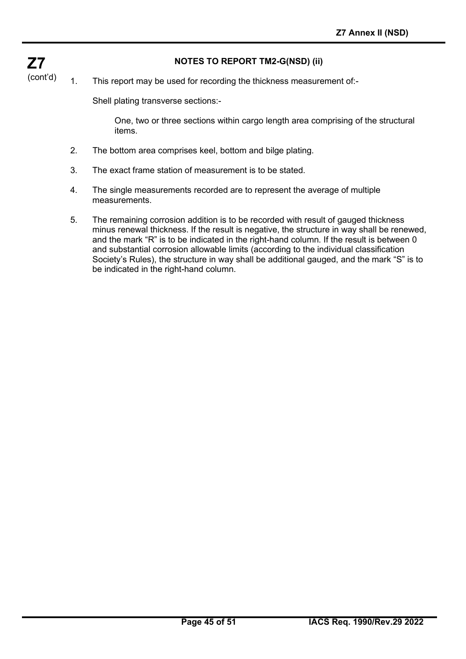#### **NOTES TO REPORT TM2-G(NSD) (ii)**

(cont'd) 1. This report may be used for recording the thickness measurement of:-

Shell plating transverse sections:-

**Z7**

One, two or three sections within cargo length area comprising of the structural items.

- 2. The bottom area comprises keel, bottom and bilge plating.
- 3. The exact frame station of measurement is to be stated.
- 4. The single measurements recorded are to represent the average of multiple measurements.
- 5. The remaining corrosion addition is to be recorded with result of gauged thickness minus renewal thickness. If the result is negative, the structure in way shall be renewed, and the mark "R" is to be indicated in the right-hand column. If the result is between 0 and substantial corrosion allowable limits (according to the individual classification Society's Rules), the structure in way shall be additional gauged, and the mark "S" is to be indicated in the right-hand column.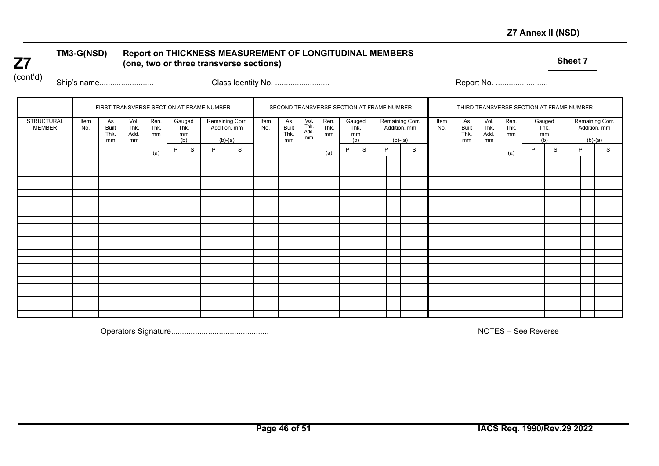#### **Z7 Annex II (NSD)**

#### **TM3-G(NSD) Report on THICKNESS MEASUREMENT OF LONGITUDINAL MEMBERS (one, two or three transverse sections)**

**Sheet 7**

(cont'd)

**Z7**

Ship's name......................... Class Identity No. ......................... Report No. ........................

| FIRST TRANSVERSE SECTION AT FRAME NUMBER<br>Vol.<br>Item<br>As<br>Thk.<br><b>Built</b><br>No.<br>Thk.<br>Add.<br>mm<br>mm |  | Ren.<br>Thk.<br>mm<br>(a) | P | Gauged<br>Thk.<br>mm<br>(b)<br>S | $(b)-(a)$<br>P | Remaining Corr.<br>Addition, mm<br>S | Item<br>No. | As<br><b>Built</b><br>Thk.<br>mm | Vol.<br>Thk.<br>Add.<br>mm | SECOND TRANSVERSE SECTION AT FRAME NUMBER<br>Ren.<br>Thk.<br>mm<br>(a) | Gauged<br>Thk.<br>(b)<br>P | mm<br>S | P | Remaining Corr.<br>Addition, mm<br>$(b)-(a)$<br>S | Item<br>No. | THIRD TRANSVERSE SECTION AT FRAME NUMBER<br>As<br><b>Built</b><br>Thk.<br>mm | Vol.<br>Thk.<br>Add.<br>mm | Ren.<br>Thk.<br>mm<br>(a) | mm<br>P | Gauged<br>Thk.<br>(b)<br>S | Remaining Corr.<br>Addition, mm<br>$(b)-(a)$<br>P | S |  |
|---------------------------------------------------------------------------------------------------------------------------|--|---------------------------|---|----------------------------------|----------------|--------------------------------------|-------------|----------------------------------|----------------------------|------------------------------------------------------------------------|----------------------------|---------|---|---------------------------------------------------|-------------|------------------------------------------------------------------------------|----------------------------|---------------------------|---------|----------------------------|---------------------------------------------------|---|--|
|                                                                                                                           |  |                           |   |                                  |                |                                      |             |                                  |                            |                                                                        |                            |         |   |                                                   |             |                                                                              |                            |                           |         |                            |                                                   |   |  |
|                                                                                                                           |  |                           |   |                                  |                |                                      |             |                                  |                            |                                                                        |                            |         |   |                                                   |             |                                                                              |                            |                           |         |                            |                                                   |   |  |
|                                                                                                                           |  |                           |   |                                  |                |                                      |             |                                  |                            |                                                                        |                            |         |   |                                                   |             |                                                                              |                            |                           |         |                            |                                                   |   |  |
|                                                                                                                           |  |                           |   |                                  |                |                                      |             |                                  |                            |                                                                        |                            |         |   |                                                   |             |                                                                              |                            |                           |         |                            |                                                   |   |  |
|                                                                                                                           |  |                           |   |                                  |                |                                      |             |                                  |                            |                                                                        |                            |         |   |                                                   |             |                                                                              |                            |                           |         |                            |                                                   |   |  |
|                                                                                                                           |  |                           |   |                                  |                |                                      |             |                                  |                            |                                                                        |                            |         |   |                                                   |             |                                                                              |                            |                           |         |                            |                                                   |   |  |
|                                                                                                                           |  |                           |   |                                  |                |                                      |             |                                  |                            |                                                                        |                            |         |   |                                                   |             |                                                                              |                            |                           |         |                            |                                                   |   |  |
|                                                                                                                           |  |                           |   |                                  |                |                                      |             |                                  |                            |                                                                        |                            |         |   |                                                   |             |                                                                              |                            |                           |         |                            |                                                   |   |  |
|                                                                                                                           |  |                           |   |                                  |                |                                      |             |                                  |                            |                                                                        |                            |         |   |                                                   |             |                                                                              |                            |                           |         |                            |                                                   |   |  |
|                                                                                                                           |  |                           |   |                                  |                |                                      |             |                                  |                            |                                                                        |                            |         |   |                                                   |             |                                                                              |                            |                           |         |                            |                                                   |   |  |
|                                                                                                                           |  |                           |   |                                  |                |                                      |             |                                  |                            |                                                                        |                            |         |   |                                                   |             |                                                                              |                            |                           |         |                            |                                                   |   |  |
|                                                                                                                           |  |                           |   |                                  |                |                                      |             |                                  |                            |                                                                        |                            |         |   |                                                   |             |                                                                              |                            |                           |         |                            |                                                   |   |  |
|                                                                                                                           |  |                           |   |                                  |                |                                      |             |                                  |                            |                                                                        |                            |         |   |                                                   |             |                                                                              |                            |                           |         |                            |                                                   |   |  |
|                                                                                                                           |  |                           |   |                                  |                |                                      |             |                                  |                            |                                                                        |                            |         |   |                                                   |             |                                                                              |                            |                           |         |                            |                                                   |   |  |
|                                                                                                                           |  |                           |   |                                  |                |                                      |             |                                  |                            |                                                                        |                            |         |   |                                                   |             |                                                                              |                            |                           |         |                            |                                                   |   |  |
|                                                                                                                           |  |                           |   |                                  |                |                                      |             |                                  |                            |                                                                        |                            |         |   |                                                   |             |                                                                              |                            |                           |         |                            |                                                   |   |  |
|                                                                                                                           |  |                           |   |                                  |                |                                      |             |                                  |                            |                                                                        |                            |         |   |                                                   |             |                                                                              |                            |                           |         |                            |                                                   |   |  |
|                                                                                                                           |  |                           |   |                                  |                |                                      |             |                                  |                            |                                                                        |                            |         |   |                                                   |             |                                                                              |                            |                           |         |                            |                                                   |   |  |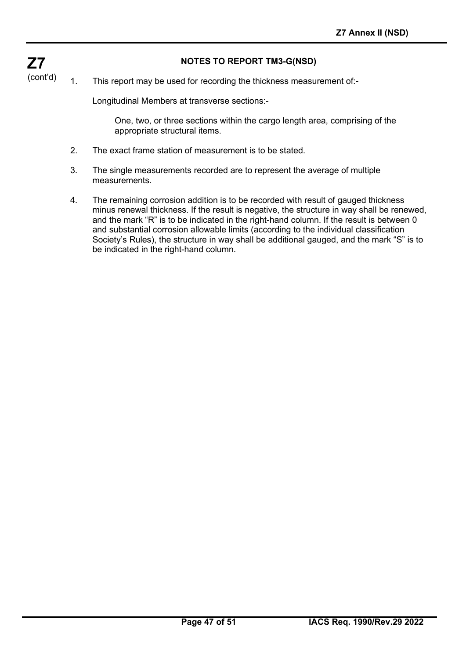#### **NOTES TO REPORT TM3-G(NSD)**

(cont'd) 1. This report may be used for recording the thickness measurement of:-

Longitudinal Members at transverse sections:-

**Z7**

One, two, or three sections within the cargo length area, comprising of the appropriate structural items.

- 2. The exact frame station of measurement is to be stated.
- 3. The single measurements recorded are to represent the average of multiple measurements.
- 4. The remaining corrosion addition is to be recorded with result of gauged thickness minus renewal thickness. If the result is negative, the structure in way shall be renewed, and the mark "R" is to be indicated in the right-hand column. If the result is between 0 and substantial corrosion allowable limits (according to the individual classification Society's Rules), the structure in way shall be additional gauged, and the mark "S" is to be indicated in the right-hand column.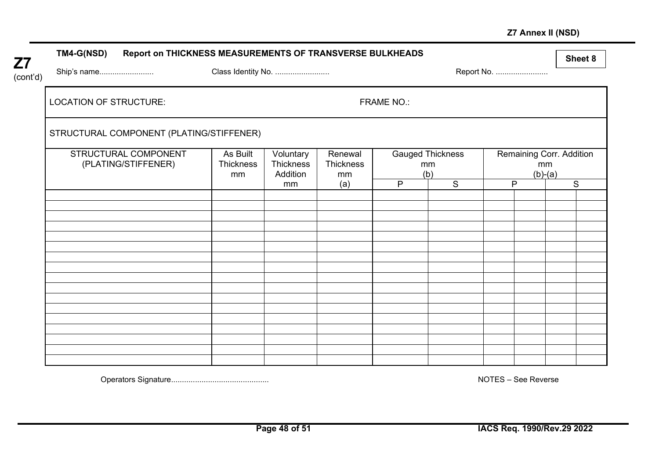### **Z7 Annex II (NSD)**

|                       | TM4-G(NSD)                    | Report on THICKNESS MEASUREMENTS OF TRANSVERSE BULKHEADS |                                    |                                    |                            |                   |                                      |            |                 |                          | Sheet 8 |
|-----------------------|-------------------------------|----------------------------------------------------------|------------------------------------|------------------------------------|----------------------------|-------------------|--------------------------------------|------------|-----------------|--------------------------|---------|
| <b>Z7</b><br>(cont'd) | Ship's name                   |                                                          | Class Identity No.                 |                                    |                            |                   |                                      | Report No. |                 |                          |         |
|                       | <b>LOCATION OF STRUCTURE:</b> |                                                          |                                    |                                    |                            | <b>FRAME NO.:</b> |                                      |            |                 |                          |         |
|                       |                               | STRUCTURAL COMPONENT (PLATING/STIFFENER)                 |                                    |                                    |                            |                   |                                      |            |                 |                          |         |
|                       |                               | STRUCTURAL COMPONENT<br>(PLATING/STIFFENER)              | As Built<br><b>Thickness</b><br>mm | Voluntary<br>Thickness<br>Addition | Renewal<br>Thickness<br>mm |                   | <b>Gauged Thickness</b><br>mm<br>(b) |            | mm<br>$(b)-(a)$ | Remaining Corr. Addition |         |
|                       |                               |                                                          |                                    | mm                                 | (a)                        | P                 | S                                    | P          |                 |                          | S       |
|                       |                               |                                                          |                                    |                                    |                            |                   |                                      |            |                 |                          |         |
|                       |                               |                                                          |                                    |                                    |                            |                   |                                      |            |                 |                          |         |
|                       |                               |                                                          |                                    |                                    |                            |                   |                                      |            |                 |                          |         |
|                       |                               |                                                          |                                    |                                    |                            |                   |                                      |            |                 |                          |         |
|                       |                               |                                                          |                                    |                                    |                            |                   |                                      |            |                 |                          |         |
|                       |                               |                                                          |                                    |                                    |                            |                   |                                      |            |                 |                          |         |
|                       |                               |                                                          |                                    |                                    |                            |                   |                                      |            |                 |                          |         |
|                       |                               |                                                          |                                    |                                    |                            |                   |                                      |            |                 |                          |         |
|                       |                               |                                                          |                                    |                                    |                            |                   |                                      |            |                 |                          |         |
|                       |                               |                                                          |                                    |                                    |                            |                   |                                      |            |                 |                          |         |
|                       |                               |                                                          |                                    |                                    |                            |                   |                                      |            |                 |                          |         |
|                       |                               |                                                          |                                    |                                    |                            |                   |                                      |            |                 |                          |         |
|                       |                               |                                                          |                                    |                                    |                            |                   |                                      |            |                 |                          |         |
|                       |                               |                                                          |                                    |                                    |                            |                   |                                      |            |                 |                          |         |

Operators Signature............................................. NOTES – See Reverse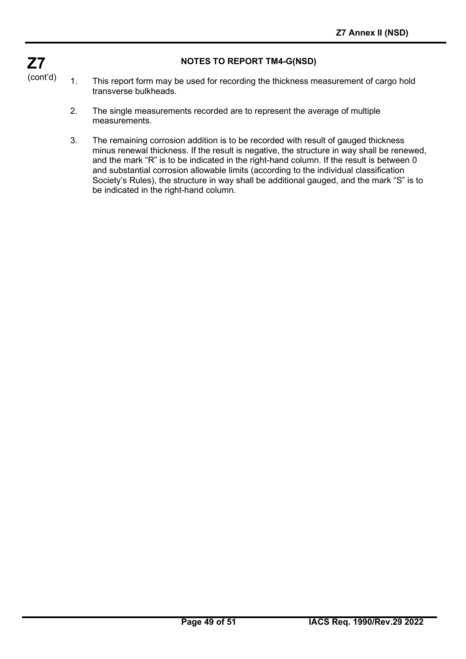#### **NOTES TO REPORT TM4-G(NSD)**

- 1. This report form may be used for recording the thickness measurement of cargo hold transverse bulkheads.
	- 2. The single measurements recorded are to represent the average of multiple measurements.
	- 3. The remaining corrosion addition is to be recorded with result of gauged thickness minus renewal thickness. If the result is negative, the structure in way shall be renewed, and the mark "R" is to be indicated in the right-hand column. If the result is between 0 and substantial corrosion allowable limits (according to the individual classification Society's Rules), the structure in way shall be additional gauged, and the mark "S" is to be indicated in the right-hand column.

**Z7** (cont'd)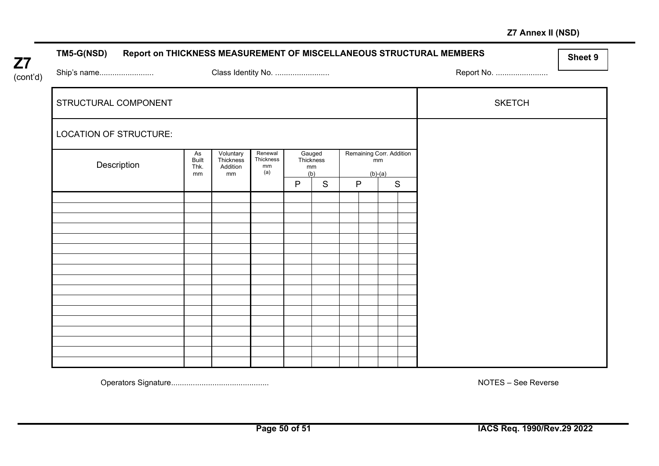### **Z7 Annex II (NSD)**

| <b>Z7</b> | TM5-G(NSD)                    |                                  |                                          |                                   |                                  |   |   |                 |                          | Report on THICKNESS MEASUREMENT OF MISCELLANEOUS STRUCTURAL MEMBERS | Sheet 9 |
|-----------|-------------------------------|----------------------------------|------------------------------------------|-----------------------------------|----------------------------------|---|---|-----------------|--------------------------|---------------------------------------------------------------------|---------|
| (cont'd)  | Ship's name                   |                                  | Class Identity No.                       |                                   |                                  |   |   |                 |                          | Report No.                                                          |         |
|           | STRUCTURAL COMPONENT          |                                  |                                          |                                   |                                  |   |   |                 |                          | <b>SKETCH</b>                                                       |         |
|           | <b>LOCATION OF STRUCTURE:</b> |                                  |                                          |                                   |                                  |   |   |                 |                          |                                                                     |         |
|           | Description                   | As<br><b>Built</b><br>Thk.<br>mm | Voluntary<br>Thickness<br>Addition<br>mm | Renewal<br>Thickness<br>mm<br>(a) | Gauged<br>Thickness<br>mm<br>(b) |   |   | mm<br>$(b)-(a)$ | Remaining Corr. Addition |                                                                     |         |
|           |                               |                                  |                                          |                                   | $\mathsf{P}$                     | S | P |                 | $\mathsf{S}$             |                                                                     |         |
|           |                               |                                  |                                          |                                   |                                  |   |   |                 |                          |                                                                     |         |
|           |                               |                                  |                                          |                                   |                                  |   |   |                 |                          |                                                                     |         |
|           |                               |                                  |                                          |                                   |                                  |   |   |                 |                          |                                                                     |         |
|           |                               |                                  |                                          |                                   |                                  |   |   |                 |                          |                                                                     |         |
|           |                               |                                  |                                          |                                   |                                  |   |   |                 |                          |                                                                     |         |
|           |                               |                                  |                                          |                                   |                                  |   |   |                 |                          |                                                                     |         |
|           |                               |                                  |                                          |                                   |                                  |   |   |                 |                          |                                                                     |         |
|           |                               |                                  |                                          |                                   |                                  |   |   |                 |                          |                                                                     |         |